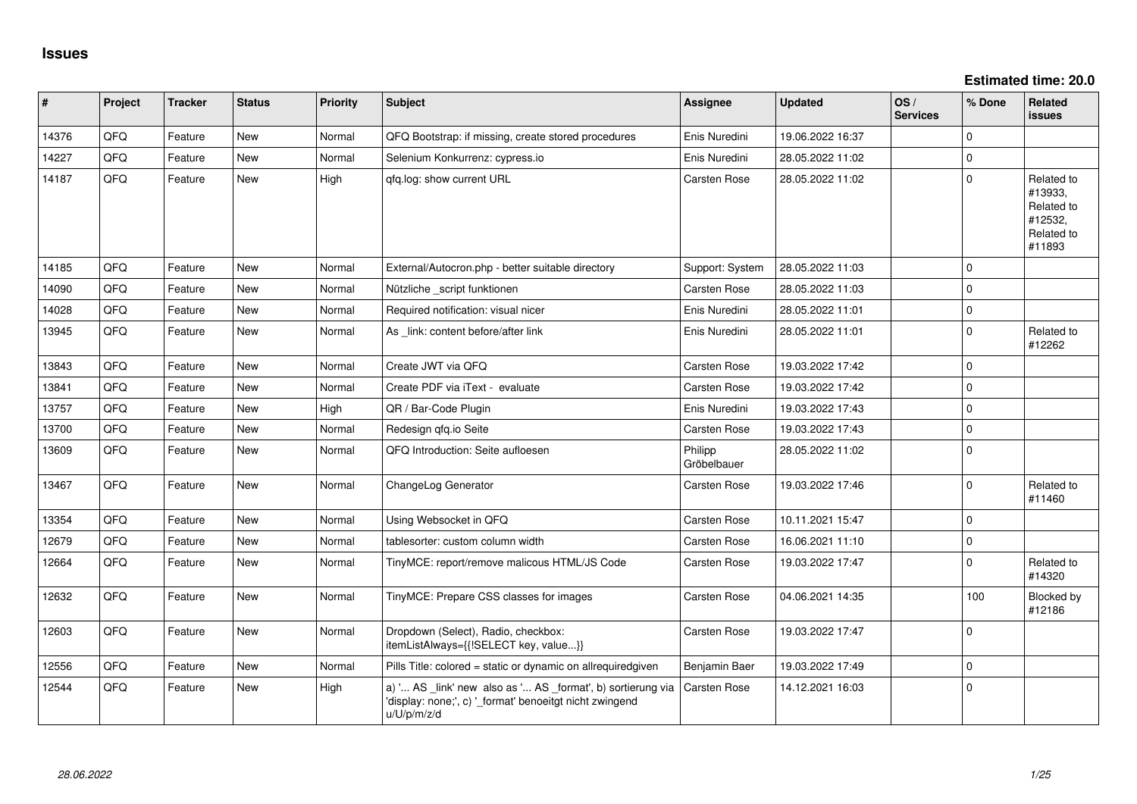**Estimated time: 20.0**

| #     | Project | <b>Tracker</b> | <b>Status</b> | <b>Priority</b> | <b>Subject</b>                                                                                                                        | <b>Assignee</b>        | <b>Updated</b>   | OS/<br><b>Services</b> | % Done      | Related<br>issues                                                      |
|-------|---------|----------------|---------------|-----------------|---------------------------------------------------------------------------------------------------------------------------------------|------------------------|------------------|------------------------|-------------|------------------------------------------------------------------------|
| 14376 | QFQ     | Feature        | <b>New</b>    | Normal          | QFQ Bootstrap: if missing, create stored procedures                                                                                   | Enis Nuredini          | 19.06.2022 16:37 |                        | 0           |                                                                        |
| 14227 | QFQ     | Feature        | <b>New</b>    | Normal          | Selenium Konkurrenz: cypress.io                                                                                                       | Enis Nuredini          | 28.05.2022 11:02 |                        | $\mathbf 0$ |                                                                        |
| 14187 | QFQ     | Feature        | <b>New</b>    | High            | qfq.log: show current URL                                                                                                             | Carsten Rose           | 28.05.2022 11:02 |                        | $\mathbf 0$ | Related to<br>#13933,<br>Related to<br>#12532,<br>Related to<br>#11893 |
| 14185 | QFQ     | Feature        | New           | Normal          | External/Autocron.php - better suitable directory                                                                                     | Support: System        | 28.05.2022 11:03 |                        | $\mathbf 0$ |                                                                        |
| 14090 | QFQ     | Feature        | New           | Normal          | Nützliche _script funktionen                                                                                                          | Carsten Rose           | 28.05.2022 11:03 |                        | $\pmb{0}$   |                                                                        |
| 14028 | QFQ     | Feature        | New           | Normal          | Required notification: visual nicer                                                                                                   | Enis Nuredini          | 28.05.2022 11:01 |                        | $\mathbf 0$ |                                                                        |
| 13945 | QFQ     | Feature        | New           | Normal          | As link: content before/after link                                                                                                    | Enis Nuredini          | 28.05.2022 11:01 |                        | $\pmb{0}$   | Related to<br>#12262                                                   |
| 13843 | QFQ     | Feature        | <b>New</b>    | Normal          | Create JWT via QFQ                                                                                                                    | Carsten Rose           | 19.03.2022 17:42 |                        | $\pmb{0}$   |                                                                        |
| 13841 | QFQ     | Feature        | <b>New</b>    | Normal          | Create PDF via iText - evaluate                                                                                                       | <b>Carsten Rose</b>    | 19.03.2022 17:42 |                        | $\mathbf 0$ |                                                                        |
| 13757 | QFQ     | Feature        | New           | High            | QR / Bar-Code Plugin                                                                                                                  | Enis Nuredini          | 19.03.2022 17:43 |                        | $\pmb{0}$   |                                                                        |
| 13700 | QFQ     | Feature        | New           | Normal          | Redesign qfq.io Seite                                                                                                                 | <b>Carsten Rose</b>    | 19.03.2022 17:43 |                        | $\pmb{0}$   |                                                                        |
| 13609 | QFQ     | Feature        | New           | Normal          | QFQ Introduction: Seite aufloesen                                                                                                     | Philipp<br>Gröbelbauer | 28.05.2022 11:02 |                        | $\pmb{0}$   |                                                                        |
| 13467 | QFQ     | Feature        | <b>New</b>    | Normal          | ChangeLog Generator                                                                                                                   | <b>Carsten Rose</b>    | 19.03.2022 17:46 |                        | $\mathbf 0$ | Related to<br>#11460                                                   |
| 13354 | QFQ     | Feature        | <b>New</b>    | Normal          | Using Websocket in QFQ                                                                                                                | <b>Carsten Rose</b>    | 10.11.2021 15:47 |                        | $\mathbf 0$ |                                                                        |
| 12679 | QFQ     | Feature        | <b>New</b>    | Normal          | tablesorter: custom column width                                                                                                      | Carsten Rose           | 16.06.2021 11:10 |                        | $\mathbf 0$ |                                                                        |
| 12664 | QFQ     | Feature        | New           | Normal          | TinyMCE: report/remove malicous HTML/JS Code                                                                                          | <b>Carsten Rose</b>    | 19.03.2022 17:47 |                        | $\mathbf 0$ | Related to<br>#14320                                                   |
| 12632 | QFQ     | Feature        | New           | Normal          | TinyMCE: Prepare CSS classes for images                                                                                               | Carsten Rose           | 04.06.2021 14:35 |                        | 100         | Blocked by<br>#12186                                                   |
| 12603 | QFQ     | Feature        | New           | Normal          | Dropdown (Select), Radio, checkbox:<br>itemListAlways={{!SELECT key, value}}                                                          | Carsten Rose           | 19.03.2022 17:47 |                        | $\mathbf 0$ |                                                                        |
| 12556 | QFQ     | Feature        | <b>New</b>    | Normal          | Pills Title: colored = static or dynamic on allrequiredgiven                                                                          | Benjamin Baer          | 19.03.2022 17:49 |                        | $\mathbf 0$ |                                                                        |
| 12544 | QFQ     | Feature        | New           | High            | a) ' AS _link' new also as ' AS _format', b) sortierung via<br>'display: none;', c) ' format' benoeitgt nicht zwingend<br>u/U/p/m/z/d | Carsten Rose           | 14.12.2021 16:03 |                        | $\mathbf 0$ |                                                                        |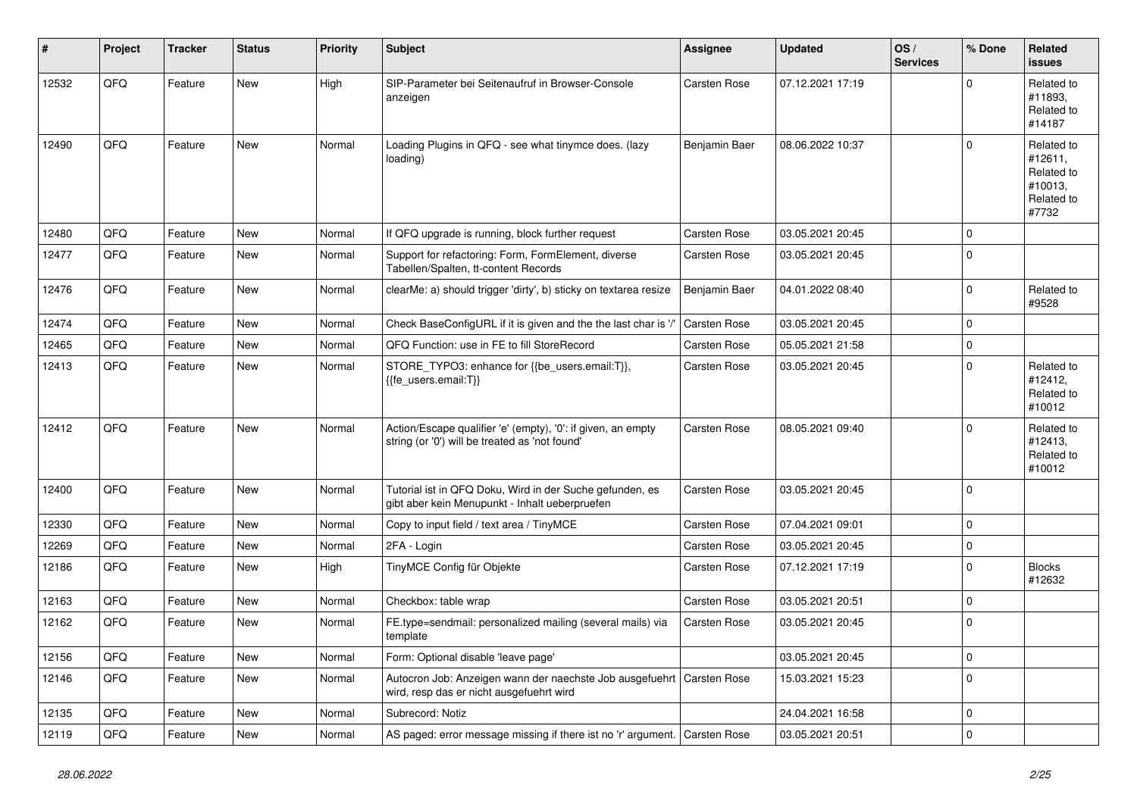| #     | Project | <b>Tracker</b> | <b>Status</b> | <b>Priority</b> | <b>Subject</b>                                                                                                 | Assignee            | <b>Updated</b>   | OS/<br><b>Services</b> | % Done      | Related<br><b>issues</b>                                              |
|-------|---------|----------------|---------------|-----------------|----------------------------------------------------------------------------------------------------------------|---------------------|------------------|------------------------|-------------|-----------------------------------------------------------------------|
| 12532 | QFQ     | Feature        | New           | High            | SIP-Parameter bei Seitenaufruf in Browser-Console<br>anzeigen                                                  | Carsten Rose        | 07.12.2021 17:19 |                        | $\Omega$    | Related to<br>#11893,<br>Related to<br>#14187                         |
| 12490 | QFQ     | Feature        | <b>New</b>    | Normal          | Loading Plugins in QFQ - see what tinymce does. (lazy<br>loading)                                              | Benjamin Baer       | 08.06.2022 10:37 |                        | $\Omega$    | Related to<br>#12611,<br>Related to<br>#10013,<br>Related to<br>#7732 |
| 12480 | QFQ     | Feature        | <b>New</b>    | Normal          | If QFQ upgrade is running, block further request                                                               | <b>Carsten Rose</b> | 03.05.2021 20:45 |                        | $\mathbf 0$ |                                                                       |
| 12477 | QFQ     | Feature        | <b>New</b>    | Normal          | Support for refactoring: Form, FormElement, diverse<br>Tabellen/Spalten, tt-content Records                    | Carsten Rose        | 03.05.2021 20:45 |                        | $\mathbf 0$ |                                                                       |
| 12476 | QFQ     | Feature        | <b>New</b>    | Normal          | clearMe: a) should trigger 'dirty', b) sticky on textarea resize                                               | Benjamin Baer       | 04.01.2022 08:40 |                        | $\mathbf 0$ | Related to<br>#9528                                                   |
| 12474 | QFQ     | Feature        | New           | Normal          | Check BaseConfigURL if it is given and the the last char is '/'                                                | Carsten Rose        | 03.05.2021 20:45 |                        | $\mathbf 0$ |                                                                       |
| 12465 | QFQ     | Feature        | New           | Normal          | QFQ Function: use in FE to fill StoreRecord                                                                    | Carsten Rose        | 05.05.2021 21:58 |                        | $\pmb{0}$   |                                                                       |
| 12413 | QFQ     | Feature        | New           | Normal          | STORE TYPO3: enhance for {{be users.email:T}},<br>{{fe users.email:T}}                                         | Carsten Rose        | 03.05.2021 20:45 |                        | $\mathbf 0$ | Related to<br>#12412,<br>Related to<br>#10012                         |
| 12412 | QFQ     | Feature        | <b>New</b>    | Normal          | Action/Escape qualifier 'e' (empty), '0': if given, an empty<br>string (or '0') will be treated as 'not found' | Carsten Rose        | 08.05.2021 09:40 |                        | $\Omega$    | Related to<br>#12413,<br>Related to<br>#10012                         |
| 12400 | QFQ     | Feature        | <b>New</b>    | Normal          | Tutorial ist in QFQ Doku, Wird in der Suche gefunden, es<br>gibt aber kein Menupunkt - Inhalt ueberpruefen     | <b>Carsten Rose</b> | 03.05.2021 20:45 |                        | $\Omega$    |                                                                       |
| 12330 | QFQ     | Feature        | <b>New</b>    | Normal          | Copy to input field / text area / TinyMCE                                                                      | <b>Carsten Rose</b> | 07.04.2021 09:01 |                        | $\mathbf 0$ |                                                                       |
| 12269 | QFQ     | Feature        | <b>New</b>    | Normal          | 2FA - Login                                                                                                    | <b>Carsten Rose</b> | 03.05.2021 20:45 |                        | $\mathbf 0$ |                                                                       |
| 12186 | QFQ     | Feature        | <b>New</b>    | High            | TinyMCE Config für Objekte                                                                                     | <b>Carsten Rose</b> | 07.12.2021 17:19 |                        | $\mathbf 0$ | <b>Blocks</b><br>#12632                                               |
| 12163 | QFQ     | Feature        | <b>New</b>    | Normal          | Checkbox: table wrap                                                                                           | <b>Carsten Rose</b> | 03.05.2021 20:51 |                        | $\mathbf 0$ |                                                                       |
| 12162 | QFQ     | Feature        | New           | Normal          | FE.type=sendmail: personalized mailing (several mails) via<br>template                                         | <b>Carsten Rose</b> | 03.05.2021 20:45 |                        | $\mathbf 0$ |                                                                       |
| 12156 | QFQ     | Feature        | New           | Normal          | Form: Optional disable 'leave page'                                                                            |                     | 03.05.2021 20:45 |                        | $\pmb{0}$   |                                                                       |
| 12146 | QFQ     | Feature        | New           | Normal          | Autocron Job: Anzeigen wann der naechste Job ausgefuehrt<br>wird, resp das er nicht ausgefuehrt wird           | Carsten Rose        | 15.03.2021 15:23 |                        | $\mathbf 0$ |                                                                       |
| 12135 | QFQ     | Feature        | New           | Normal          | Subrecord: Notiz                                                                                               |                     | 24.04.2021 16:58 |                        | $\pmb{0}$   |                                                                       |
| 12119 | QFQ     | Feature        | <b>New</b>    | Normal          | AS paged: error message missing if there ist no 'r' argument.   Carsten Rose                                   |                     | 03.05.2021 20:51 |                        | $\Omega$    |                                                                       |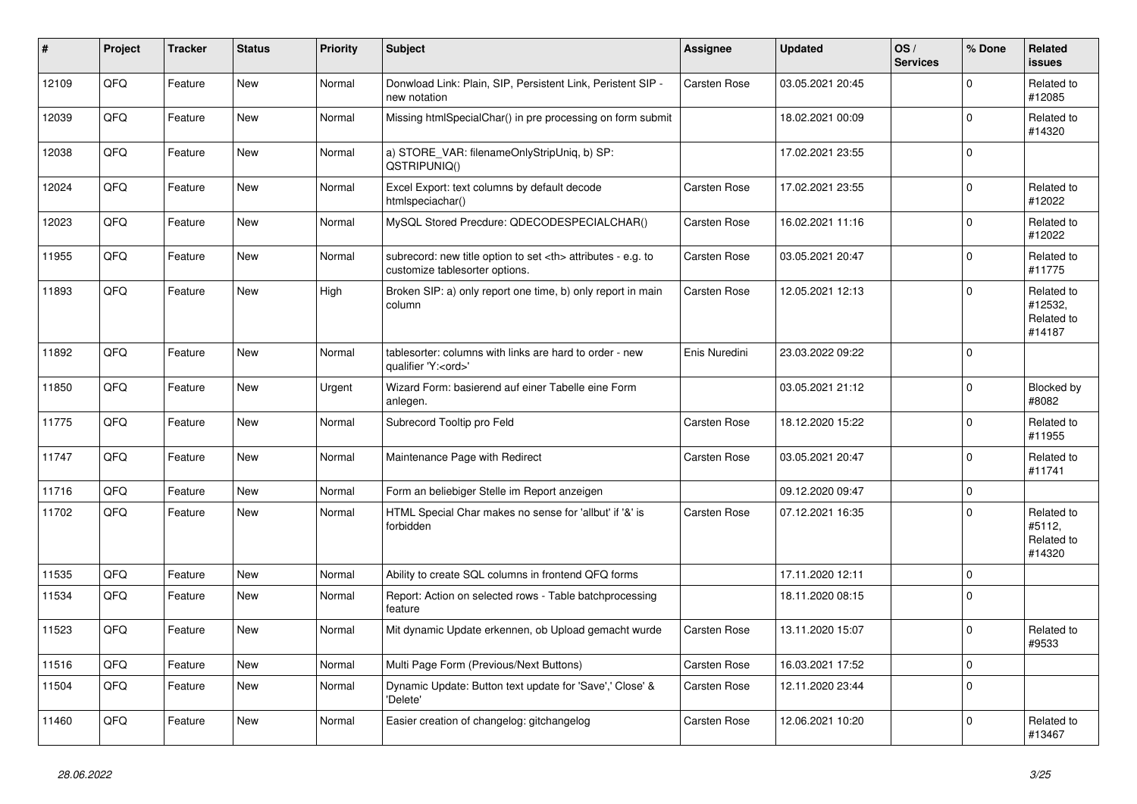| $\vert$ # | Project | <b>Tracker</b> | <b>Status</b> | Priority | <b>Subject</b>                                                                                       | Assignee                                               | <b>Updated</b>   | OS/<br><b>Services</b> | % Done      | Related<br><b>issues</b>                      |                      |
|-----------|---------|----------------|---------------|----------|------------------------------------------------------------------------------------------------------|--------------------------------------------------------|------------------|------------------------|-------------|-----------------------------------------------|----------------------|
| 12109     | QFQ     | Feature        | <b>New</b>    | Normal   | Donwload Link: Plain, SIP, Persistent Link, Peristent SIP -<br>new notation                          | Carsten Rose                                           | 03.05.2021 20:45 |                        | $\Omega$    | Related to<br>#12085                          |                      |
| 12039     | QFQ     | Feature        | <b>New</b>    | Normal   | Missing htmlSpecialChar() in pre processing on form submit                                           |                                                        | 18.02.2021 00:09 |                        | $\Omega$    | Related to<br>#14320                          |                      |
| 12038     | QFQ     | Feature        | New           | Normal   | a) STORE VAR: filenameOnlyStripUniq, b) SP:<br>QSTRIPUNIQ()                                          |                                                        | 17.02.2021 23:55 |                        | $\Omega$    |                                               |                      |
| 12024     | QFQ     | Feature        | <b>New</b>    | Normal   | Excel Export: text columns by default decode<br>htmlspeciachar()                                     | Carsten Rose                                           | 17.02.2021 23:55 |                        | $\Omega$    | Related to<br>#12022                          |                      |
| 12023     | QFQ     | Feature        | <b>New</b>    | Normal   | MySQL Stored Precdure: QDECODESPECIALCHAR()                                                          | <b>Carsten Rose</b>                                    | 16.02.2021 11:16 |                        | $\Omega$    | Related to<br>#12022                          |                      |
| 11955     | QFQ     | Feature        | New           | Normal   | subrecord: new title option to set <th> attributes - e.g. to<br/>customize tablesorter options.</th> | attributes - e.g. to<br>customize tablesorter options. | Carsten Rose     | 03.05.2021 20:47       |             | $\mathbf 0$                                   | Related to<br>#11775 |
| 11893     | QFQ     | Feature        | <b>New</b>    | High     | Broken SIP: a) only report one time, b) only report in main<br>column                                | Carsten Rose                                           | 12.05.2021 12:13 |                        | $\Omega$    | Related to<br>#12532,<br>Related to<br>#14187 |                      |
| 11892     | QFQ     | Feature        | New           | Normal   | tablesorter: columns with links are hard to order - new<br>qualifier 'Y: <ord>'</ord>                | Enis Nuredini                                          | 23.03.2022 09:22 |                        | $\mathbf 0$ |                                               |                      |
| 11850     | QFQ     | Feature        | <b>New</b>    | Urgent   | Wizard Form: basierend auf einer Tabelle eine Form<br>anlegen.                                       |                                                        | 03.05.2021 21:12 |                        | $\Omega$    | Blocked by<br>#8082                           |                      |
| 11775     | QFQ     | Feature        | <b>New</b>    | Normal   | Subrecord Tooltip pro Feld                                                                           | Carsten Rose                                           | 18.12.2020 15:22 |                        | $\Omega$    | Related to<br>#11955                          |                      |
| 11747     | QFQ     | Feature        | <b>New</b>    | Normal   | Maintenance Page with Redirect                                                                       | Carsten Rose                                           | 03.05.2021 20:47 |                        | $\mathbf 0$ | Related to<br>#11741                          |                      |
| 11716     | QFQ     | Feature        | <b>New</b>    | Normal   | Form an beliebiger Stelle im Report anzeigen                                                         |                                                        | 09.12.2020 09:47 |                        | $\Omega$    |                                               |                      |
| 11702     | QFQ     | Feature        | <b>New</b>    | Normal   | HTML Special Char makes no sense for 'allbut' if '&' is<br>forbidden                                 | Carsten Rose                                           | 07.12.2021 16:35 |                        | $\Omega$    | Related to<br>#5112,<br>Related to<br>#14320  |                      |
| 11535     | QFQ     | Feature        | <b>New</b>    | Normal   | Ability to create SQL columns in frontend QFQ forms                                                  |                                                        | 17.11.2020 12:11 |                        | $\mathbf 0$ |                                               |                      |
| 11534     | QFQ     | Feature        | New           | Normal   | Report: Action on selected rows - Table batchprocessing<br>feature                                   |                                                        | 18.11.2020 08:15 |                        | $\Omega$    |                                               |                      |
| 11523     | QFQ     | Feature        | <b>New</b>    | Normal   | Mit dynamic Update erkennen, ob Upload gemacht wurde                                                 | Carsten Rose                                           | 13.11.2020 15:07 |                        | $\Omega$    | Related to<br>#9533                           |                      |
| 11516     | QFQ     | Feature        | <b>New</b>    | Normal   | Multi Page Form (Previous/Next Buttons)                                                              | Carsten Rose                                           | 16.03.2021 17:52 |                        | $\mathbf 0$ |                                               |                      |
| 11504     | QFQ     | Feature        | <b>New</b>    | Normal   | Dynamic Update: Button text update for 'Save',' Close' &<br>'Delete'                                 | Carsten Rose                                           | 12.11.2020 23:44 |                        | $\mathbf 0$ |                                               |                      |
| 11460     | QFQ     | Feature        | <b>New</b>    | Normal   | Easier creation of changelog: gitchangelog                                                           | Carsten Rose                                           | 12.06.2021 10:20 |                        | $\Omega$    | Related to<br>#13467                          |                      |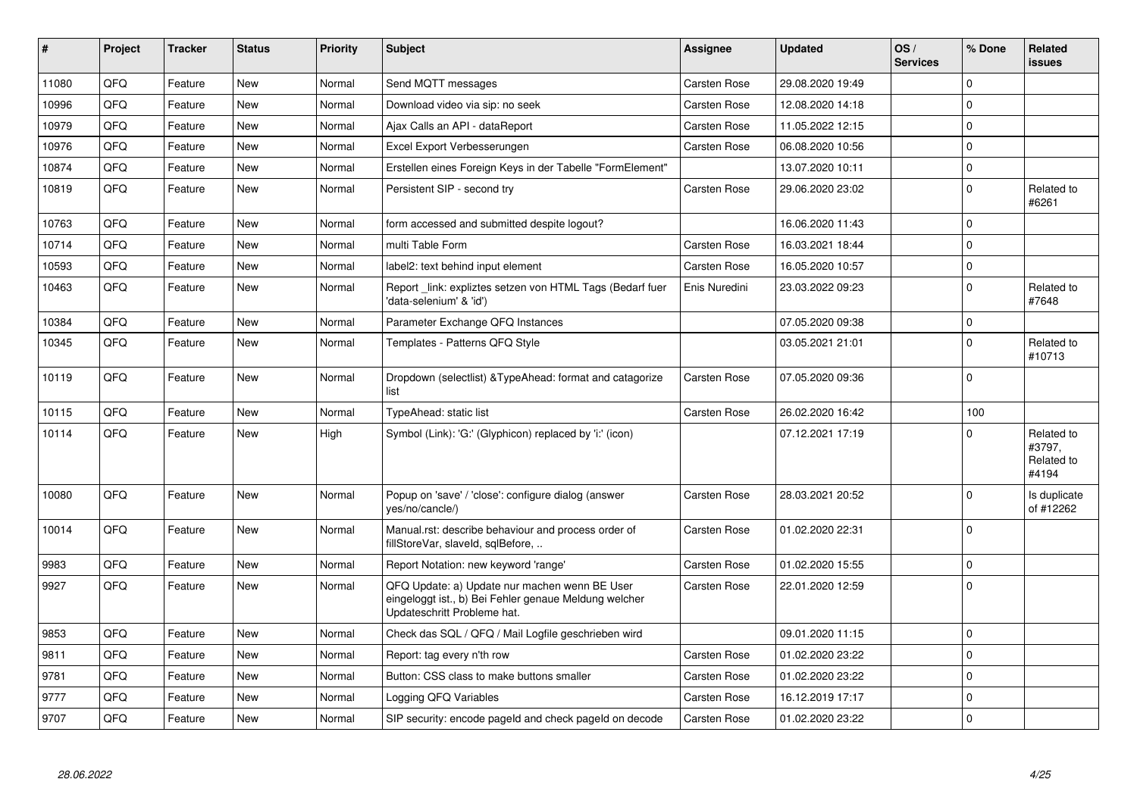| ∦     | Project | <b>Tracker</b> | <b>Status</b> | <b>Priority</b> | <b>Subject</b>                                                                                                                        | Assignee            | <b>Updated</b>   | OS/<br><b>Services</b> | % Done      | Related<br><b>issues</b>                    |
|-------|---------|----------------|---------------|-----------------|---------------------------------------------------------------------------------------------------------------------------------------|---------------------|------------------|------------------------|-------------|---------------------------------------------|
| 11080 | QFQ     | Feature        | <b>New</b>    | Normal          | Send MQTT messages                                                                                                                    | Carsten Rose        | 29.08.2020 19:49 |                        | $\Omega$    |                                             |
| 10996 | QFQ     | Feature        | New           | Normal          | Download video via sip: no seek                                                                                                       | Carsten Rose        | 12.08.2020 14:18 |                        | $\mathbf 0$ |                                             |
| 10979 | QFQ     | Feature        | <b>New</b>    | Normal          | Ajax Calls an API - dataReport                                                                                                        | Carsten Rose        | 11.05.2022 12:15 |                        | $\Omega$    |                                             |
| 10976 | QFQ     | Feature        | <b>New</b>    | Normal          | Excel Export Verbesserungen                                                                                                           | <b>Carsten Rose</b> | 06.08.2020 10:56 |                        | $\Omega$    |                                             |
| 10874 | QFQ     | Feature        | New           | Normal          | Erstellen eines Foreign Keys in der Tabelle "FormElement"                                                                             |                     | 13.07.2020 10:11 |                        | $\mathbf 0$ |                                             |
| 10819 | QFQ     | Feature        | <b>New</b>    | Normal          | Persistent SIP - second try                                                                                                           | Carsten Rose        | 29.06.2020 23:02 |                        | $\mathbf 0$ | Related to<br>#6261                         |
| 10763 | OFO     | Feature        | <b>New</b>    | Normal          | form accessed and submitted despite logout?                                                                                           |                     | 16.06.2020 11:43 |                        | $\Omega$    |                                             |
| 10714 | QFQ     | Feature        | <b>New</b>    | Normal          | multi Table Form                                                                                                                      | Carsten Rose        | 16.03.2021 18:44 |                        | $\mathbf 0$ |                                             |
| 10593 | QFQ     | Feature        | <b>New</b>    | Normal          | label2: text behind input element                                                                                                     | Carsten Rose        | 16.05.2020 10:57 |                        | $\mathbf 0$ |                                             |
| 10463 | QFQ     | Feature        | New           | Normal          | Report link: expliztes setzen von HTML Tags (Bedarf fuer<br>'data-selenium' & 'id')                                                   | Enis Nuredini       | 23.03.2022 09:23 |                        | $\Omega$    | Related to<br>#7648                         |
| 10384 | QFQ     | Feature        | <b>New</b>    | Normal          | Parameter Exchange QFQ Instances                                                                                                      |                     | 07.05.2020 09:38 |                        | $\mathbf 0$ |                                             |
| 10345 | QFQ     | Feature        | <b>New</b>    | Normal          | Templates - Patterns QFQ Style                                                                                                        |                     | 03.05.2021 21:01 |                        | $\Omega$    | Related to<br>#10713                        |
| 10119 | QFQ     | Feature        | <b>New</b>    | Normal          | Dropdown (selectlist) & Type Ahead: format and catagorize<br>list                                                                     | Carsten Rose        | 07.05.2020 09:36 |                        | $\Omega$    |                                             |
| 10115 | QFQ     | Feature        | New           | Normal          | TypeAhead: static list                                                                                                                | Carsten Rose        | 26.02.2020 16:42 |                        | 100         |                                             |
| 10114 | QFQ     | Feature        | New           | High            | Symbol (Link): 'G:' (Glyphicon) replaced by 'i:' (icon)                                                                               |                     | 07.12.2021 17:19 |                        | $\Omega$    | Related to<br>#3797,<br>Related to<br>#4194 |
| 10080 | QFQ     | Feature        | <b>New</b>    | Normal          | Popup on 'save' / 'close': configure dialog (answer<br>yes/no/cancle/)                                                                | Carsten Rose        | 28.03.2021 20:52 |                        | $\Omega$    | Is duplicate<br>of #12262                   |
| 10014 | QFQ     | Feature        | <b>New</b>    | Normal          | Manual.rst: describe behaviour and process order of<br>fillStoreVar, slaveld, sqlBefore,                                              | Carsten Rose        | 01.02.2020 22:31 |                        | $\Omega$    |                                             |
| 9983  | QFQ     | Feature        | <b>New</b>    | Normal          | Report Notation: new keyword 'range'                                                                                                  | Carsten Rose        | 01.02.2020 15:55 |                        | $\mathbf 0$ |                                             |
| 9927  | QFQ     | Feature        | New           | Normal          | QFQ Update: a) Update nur machen wenn BE User<br>eingeloggt ist., b) Bei Fehler genaue Meldung welcher<br>Updateschritt Probleme hat. | Carsten Rose        | 22.01.2020 12:59 |                        | $\Omega$    |                                             |
| 9853  | QFQ     | Feature        | <b>New</b>    | Normal          | Check das SQL / QFQ / Mail Logfile geschrieben wird                                                                                   |                     | 09.01.2020 11:15 |                        | $\Omega$    |                                             |
| 9811  | QFQ     | Feature        | <b>New</b>    | Normal          | Report: tag every n'th row                                                                                                            | Carsten Rose        | 01.02.2020 23:22 |                        | $\Omega$    |                                             |
| 9781  | QFQ     | Feature        | New           | Normal          | Button: CSS class to make buttons smaller                                                                                             | Carsten Rose        | 01.02.2020 23:22 |                        | $\mathbf 0$ |                                             |
| 9777  | QFQ     | Feature        | New           | Normal          | Logging QFQ Variables                                                                                                                 | Carsten Rose        | 16.12.2019 17:17 |                        | $\mathbf 0$ |                                             |
| 9707  | QFQ     | Feature        | <b>New</b>    | Normal          | SIP security: encode pageld and check pageld on decode                                                                                | Carsten Rose        | 01.02.2020 23:22 |                        | $\mathbf 0$ |                                             |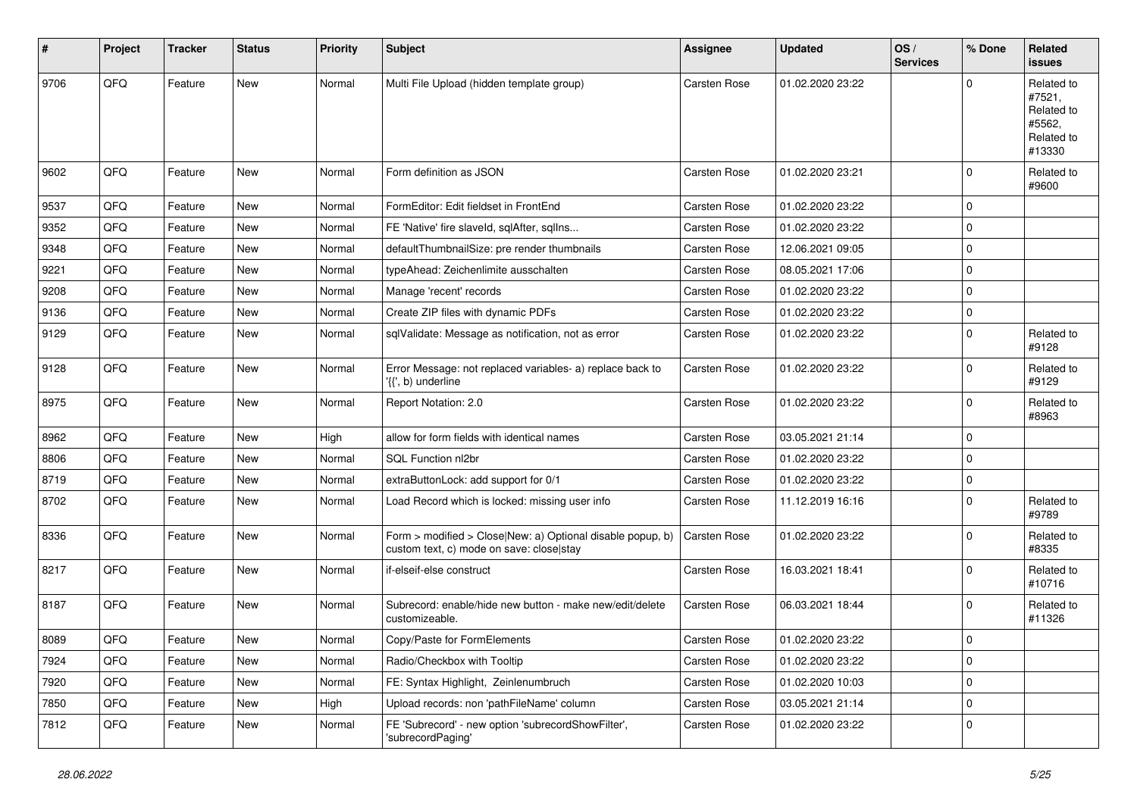| #    | Project | <b>Tracker</b> | <b>Status</b> | <b>Priority</b> | <b>Subject</b>                                                                                         | <b>Assignee</b>     | <b>Updated</b>   | OS/<br><b>Services</b> | % Done      | Related<br>issues                                                    |
|------|---------|----------------|---------------|-----------------|--------------------------------------------------------------------------------------------------------|---------------------|------------------|------------------------|-------------|----------------------------------------------------------------------|
| 9706 | QFQ     | Feature        | <b>New</b>    | Normal          | Multi File Upload (hidden template group)                                                              | Carsten Rose        | 01.02.2020 23:22 |                        | $\Omega$    | Related to<br>#7521,<br>Related to<br>#5562,<br>Related to<br>#13330 |
| 9602 | QFQ     | Feature        | New           | Normal          | Form definition as JSON                                                                                | <b>Carsten Rose</b> | 01.02.2020 23:21 |                        | 0           | Related to<br>#9600                                                  |
| 9537 | QFQ     | Feature        | New           | Normal          | FormEditor: Edit fieldset in FrontEnd                                                                  | <b>Carsten Rose</b> | 01.02.2020 23:22 |                        | $\mathbf 0$ |                                                                      |
| 9352 | QFQ     | Feature        | New           | Normal          | FE 'Native' fire slaveld, sqlAfter, sqlIns                                                             | Carsten Rose        | 01.02.2020 23:22 |                        | 0           |                                                                      |
| 9348 | QFQ     | Feature        | New           | Normal          | defaultThumbnailSize: pre render thumbnails                                                            | Carsten Rose        | 12.06.2021 09:05 |                        | 0           |                                                                      |
| 9221 | QFQ     | Feature        | New           | Normal          | typeAhead: Zeichenlimite ausschalten                                                                   | Carsten Rose        | 08.05.2021 17:06 |                        | 0           |                                                                      |
| 9208 | QFQ     | Feature        | New           | Normal          | Manage 'recent' records                                                                                | Carsten Rose        | 01.02.2020 23:22 |                        | 0           |                                                                      |
| 9136 | QFQ     | Feature        | New           | Normal          | Create ZIP files with dynamic PDFs                                                                     | Carsten Rose        | 01.02.2020 23:22 |                        | $\pmb{0}$   |                                                                      |
| 9129 | QFQ     | Feature        | New           | Normal          | sqlValidate: Message as notification, not as error                                                     | Carsten Rose        | 01.02.2020 23:22 |                        | 0           | Related to<br>#9128                                                  |
| 9128 | QFQ     | Feature        | New           | Normal          | Error Message: not replaced variables- a) replace back to<br>'{{', b) underline                        | Carsten Rose        | 01.02.2020 23:22 |                        | $\mathbf 0$ | Related to<br>#9129                                                  |
| 8975 | QFQ     | Feature        | New           | Normal          | Report Notation: 2.0                                                                                   | Carsten Rose        | 01.02.2020 23:22 |                        | 0           | Related to<br>#8963                                                  |
| 8962 | QFQ     | Feature        | New           | High            | allow for form fields with identical names                                                             | Carsten Rose        | 03.05.2021 21:14 |                        | 0           |                                                                      |
| 8806 | QFQ     | Feature        | New           | Normal          | SQL Function nl2br                                                                                     | Carsten Rose        | 01.02.2020 23:22 |                        | $\pmb{0}$   |                                                                      |
| 8719 | QFQ     | Feature        | <b>New</b>    | Normal          | extraButtonLock: add support for 0/1                                                                   | Carsten Rose        | 01.02.2020 23:22 |                        | 0           |                                                                      |
| 8702 | QFQ     | Feature        | New           | Normal          | Load Record which is locked: missing user info                                                         | Carsten Rose        | 11.12.2019 16:16 |                        | $\mathbf 0$ | Related to<br>#9789                                                  |
| 8336 | QFQ     | Feature        | New           | Normal          | Form > modified > Close New: a) Optional disable popup, b)<br>custom text, c) mode on save: close stay | Carsten Rose        | 01.02.2020 23:22 |                        | 0           | Related to<br>#8335                                                  |
| 8217 | QFQ     | Feature        | New           | Normal          | if-elseif-else construct                                                                               | Carsten Rose        | 16.03.2021 18:41 |                        | 0           | Related to<br>#10716                                                 |
| 8187 | QFQ     | Feature        | New           | Normal          | Subrecord: enable/hide new button - make new/edit/delete<br>customizeable.                             | Carsten Rose        | 06.03.2021 18:44 |                        | 0           | Related to<br>#11326                                                 |
| 8089 | QFQ     | Feature        | New           | Normal          | Copy/Paste for FormElements                                                                            | Carsten Rose        | 01.02.2020 23:22 |                        | $\pmb{0}$   |                                                                      |
| 7924 | QFQ     | Feature        | New           | Normal          | Radio/Checkbox with Tooltip                                                                            | Carsten Rose        | 01.02.2020 23:22 |                        | $\mathbf 0$ |                                                                      |
| 7920 | QFQ     | Feature        | New           | Normal          | FE: Syntax Highlight, Zeinlenumbruch                                                                   | Carsten Rose        | 01.02.2020 10:03 |                        | $\mathbf 0$ |                                                                      |
| 7850 | QFQ     | Feature        | New           | High            | Upload records: non 'pathFileName' column                                                              | Carsten Rose        | 03.05.2021 21:14 |                        | 0           |                                                                      |
| 7812 | QFQ     | Feature        | New           | Normal          | FE 'Subrecord' - new option 'subrecordShowFilter',<br>'subrecordPaging'                                | Carsten Rose        | 01.02.2020 23:22 |                        | 0           |                                                                      |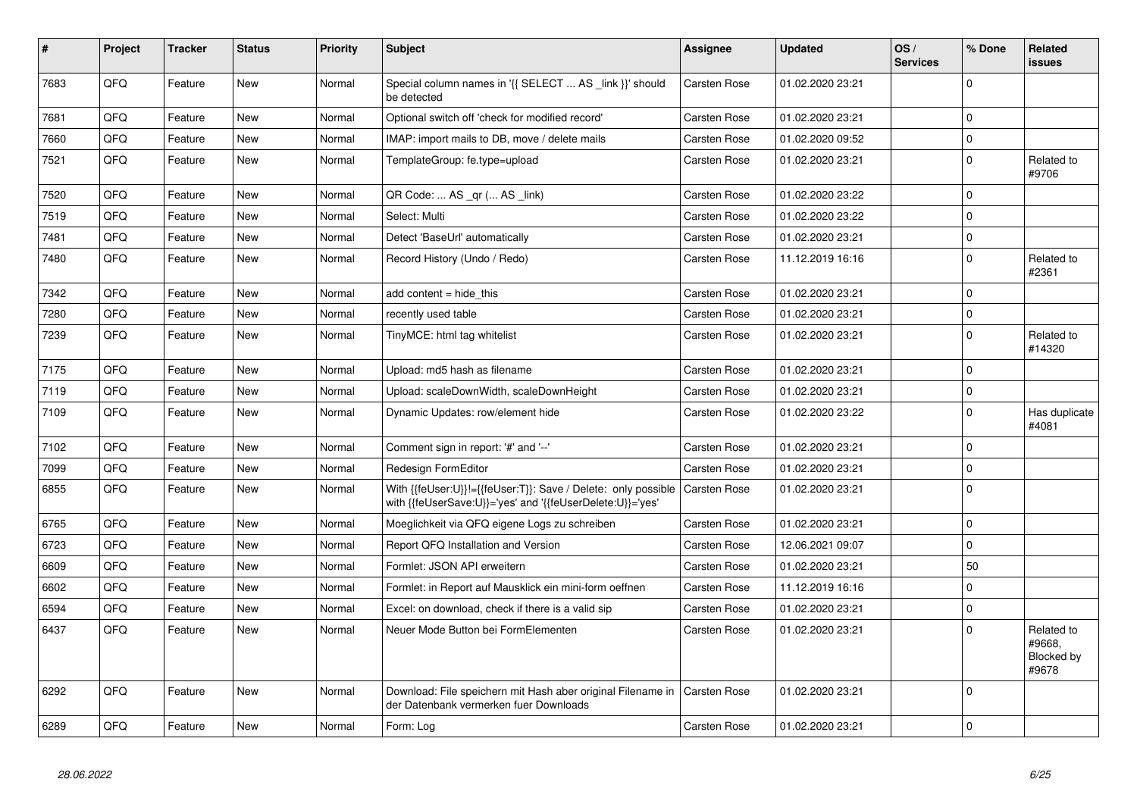| #    | Project | <b>Tracker</b> | <b>Status</b> | <b>Priority</b> | <b>Subject</b>                                                                                                             | Assignee            | <b>Updated</b>   | OS/<br><b>Services</b> | % Done      | Related<br>issues                           |
|------|---------|----------------|---------------|-----------------|----------------------------------------------------------------------------------------------------------------------------|---------------------|------------------|------------------------|-------------|---------------------------------------------|
| 7683 | QFQ     | Feature        | <b>New</b>    | Normal          | Special column names in '{{ SELECT  AS _link }}' should<br>be detected                                                     | Carsten Rose        | 01.02.2020 23:21 |                        | $\Omega$    |                                             |
| 7681 | QFQ     | Feature        | <b>New</b>    | Normal          | Optional switch off 'check for modified record'                                                                            | Carsten Rose        | 01.02.2020 23:21 |                        | 0           |                                             |
| 7660 | QFQ     | Feature        | <b>New</b>    | Normal          | IMAP: import mails to DB, move / delete mails                                                                              | Carsten Rose        | 01.02.2020 09:52 |                        | $\pmb{0}$   |                                             |
| 7521 | QFQ     | Feature        | New           | Normal          | TemplateGroup: fe.type=upload                                                                                              | Carsten Rose        | 01.02.2020 23:21 |                        | $\pmb{0}$   | Related to<br>#9706                         |
| 7520 | QFQ     | Feature        | <b>New</b>    | Normal          | QR Code:  AS _qr ( AS _link)                                                                                               | Carsten Rose        | 01.02.2020 23:22 |                        | $\mathbf 0$ |                                             |
| 7519 | QFQ     | Feature        | <b>New</b>    | Normal          | Select: Multi                                                                                                              | Carsten Rose        | 01.02.2020 23:22 |                        | $\mathbf 0$ |                                             |
| 7481 | QFQ     | Feature        | <b>New</b>    | Normal          | Detect 'BaseUrl' automatically                                                                                             | <b>Carsten Rose</b> | 01.02.2020 23:21 |                        | $\pmb{0}$   |                                             |
| 7480 | QFQ     | Feature        | <b>New</b>    | Normal          | Record History (Undo / Redo)                                                                                               | Carsten Rose        | 11.12.2019 16:16 |                        | $\mathbf 0$ | Related to<br>#2361                         |
| 7342 | QFQ     | Feature        | <b>New</b>    | Normal          | add content = hide this                                                                                                    | <b>Carsten Rose</b> | 01.02.2020 23:21 |                        | $\pmb{0}$   |                                             |
| 7280 | QFQ     | Feature        | <b>New</b>    | Normal          | recently used table                                                                                                        | <b>Carsten Rose</b> | 01.02.2020 23:21 |                        | $\mathbf 0$ |                                             |
| 7239 | QFQ     | Feature        | New           | Normal          | TinyMCE: html tag whitelist                                                                                                | <b>Carsten Rose</b> | 01.02.2020 23:21 |                        | $\mathbf 0$ | Related to<br>#14320                        |
| 7175 | QFQ     | Feature        | <b>New</b>    | Normal          | Upload: md5 hash as filename                                                                                               | Carsten Rose        | 01.02.2020 23:21 |                        | 0           |                                             |
| 7119 | QFQ     | Feature        | <b>New</b>    | Normal          | Upload: scaleDownWidth, scaleDownHeight                                                                                    | <b>Carsten Rose</b> | 01.02.2020 23:21 |                        | $\pmb{0}$   |                                             |
| 7109 | QFQ     | Feature        | <b>New</b>    | Normal          | Dynamic Updates: row/element hide                                                                                          | Carsten Rose        | 01.02.2020 23:22 |                        | $\mathbf 0$ | Has duplicate<br>#4081                      |
| 7102 | QFQ     | Feature        | New           | Normal          | Comment sign in report: '#' and '--'                                                                                       | Carsten Rose        | 01.02.2020 23:21 |                        | $\mathbf 0$ |                                             |
| 7099 | QFQ     | Feature        | <b>New</b>    | Normal          | Redesign FormEditor                                                                                                        | Carsten Rose        | 01.02.2020 23:21 |                        | 0           |                                             |
| 6855 | QFQ     | Feature        | <b>New</b>    | Normal          | With {{feUser:U}}!={{feUser:T}}: Save / Delete: only possible<br>with {{feUserSave:U}}='yes' and '{{feUserDelete:U}}='yes' | Carsten Rose        | 01.02.2020 23:21 |                        | $\mathbf 0$ |                                             |
| 6765 | QFQ     | Feature        | New           | Normal          | Moeglichkeit via QFQ eigene Logs zu schreiben                                                                              | Carsten Rose        | 01.02.2020 23:21 |                        | $\pmb{0}$   |                                             |
| 6723 | QFQ     | Feature        | New           | Normal          | Report QFQ Installation and Version                                                                                        | Carsten Rose        | 12.06.2021 09:07 |                        | 0           |                                             |
| 6609 | QFQ     | Feature        | <b>New</b>    | Normal          | Formlet: JSON API erweitern                                                                                                | Carsten Rose        | 01.02.2020 23:21 |                        | 50          |                                             |
| 6602 | QFQ     | Feature        | New           | Normal          | Formlet: in Report auf Mausklick ein mini-form oeffnen                                                                     | Carsten Rose        | 11.12.2019 16:16 |                        | $\pmb{0}$   |                                             |
| 6594 | QFQ     | Feature        | <b>New</b>    | Normal          | Excel: on download, check if there is a valid sip                                                                          | Carsten Rose        | 01.02.2020 23:21 |                        | $\mathbf 0$ |                                             |
| 6437 | QFQ     | Feature        | New           | Normal          | Neuer Mode Button bei FormElementen                                                                                        | <b>Carsten Rose</b> | 01.02.2020 23:21 |                        | $\mathbf 0$ | Related to<br>#9668,<br>Blocked by<br>#9678 |
| 6292 | QFQ     | Feature        | <b>New</b>    | Normal          | Download: File speichern mit Hash aber original Filename in   Carsten Rose<br>der Datenbank vermerken fuer Downloads       |                     | 01.02.2020 23:21 |                        | $\mathbf 0$ |                                             |
| 6289 | QFQ     | Feature        | <b>New</b>    | Normal          | Form: Log                                                                                                                  | <b>Carsten Rose</b> | 01.02.2020 23:21 |                        | $\pmb{0}$   |                                             |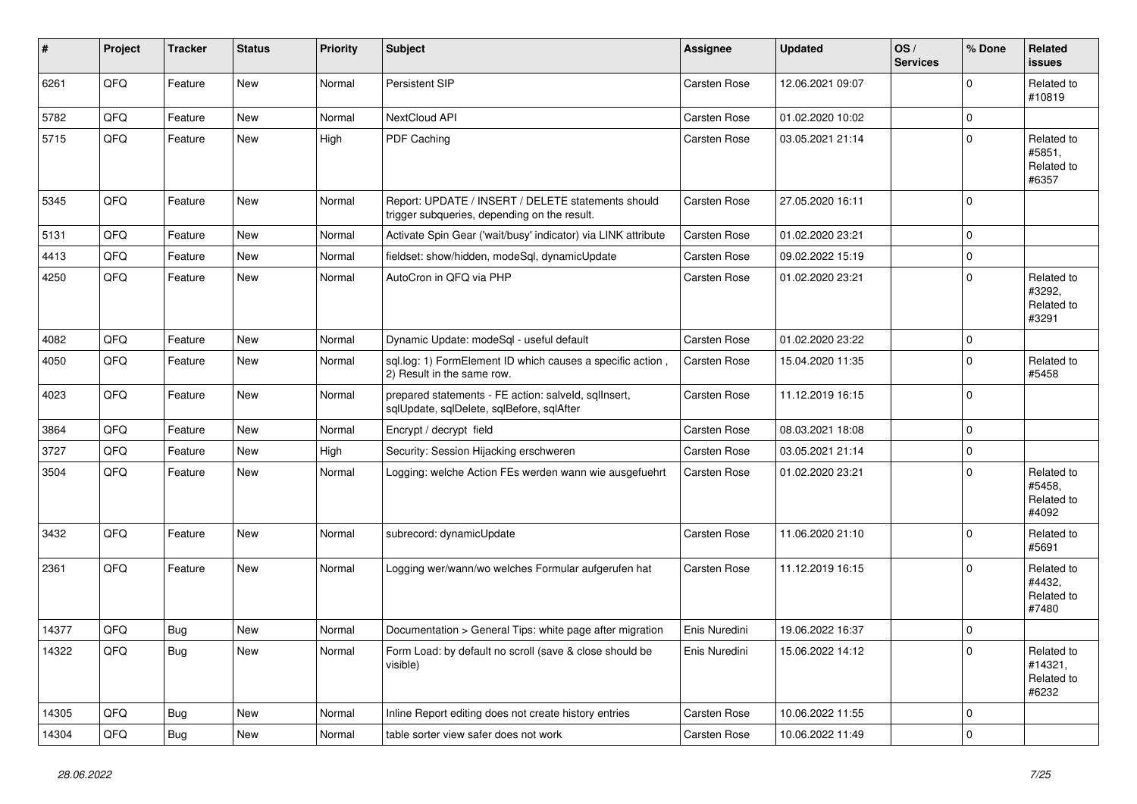| #     | Project | <b>Tracker</b> | <b>Status</b> | <b>Priority</b> | <b>Subject</b>                                                                                     | Assignee            | <b>Updated</b>   | OS/<br><b>Services</b> | % Done      | Related<br><b>issues</b>                     |
|-------|---------|----------------|---------------|-----------------|----------------------------------------------------------------------------------------------------|---------------------|------------------|------------------------|-------------|----------------------------------------------|
| 6261  | QFQ     | Feature        | New           | Normal          | Persistent SIP                                                                                     | Carsten Rose        | 12.06.2021 09:07 |                        | $\Omega$    | Related to<br>#10819                         |
| 5782  | QFQ     | Feature        | <b>New</b>    | Normal          | NextCloud API                                                                                      | <b>Carsten Rose</b> | 01.02.2020 10:02 |                        | $\mathbf 0$ |                                              |
| 5715  | QFQ     | Feature        | New           | High            | PDF Caching                                                                                        | Carsten Rose        | 03.05.2021 21:14 |                        | $\Omega$    | Related to<br>#5851,<br>Related to<br>#6357  |
| 5345  | QFQ     | Feature        | <b>New</b>    | Normal          | Report: UPDATE / INSERT / DELETE statements should<br>trigger subqueries, depending on the result. | <b>Carsten Rose</b> | 27.05.2020 16:11 |                        | $\Omega$    |                                              |
| 5131  | QFQ     | Feature        | <b>New</b>    | Normal          | Activate Spin Gear ('wait/busy' indicator) via LINK attribute                                      | Carsten Rose        | 01.02.2020 23:21 |                        | $\mathbf 0$ |                                              |
| 4413  | QFQ     | Feature        | <b>New</b>    | Normal          | fieldset: show/hidden, modeSql, dynamicUpdate                                                      | Carsten Rose        | 09.02.2022 15:19 |                        | $\pmb{0}$   |                                              |
| 4250  | QFQ     | Feature        | New           | Normal          | AutoCron in QFQ via PHP                                                                            | Carsten Rose        | 01.02.2020 23:21 |                        | $\Omega$    | Related to<br>#3292,<br>Related to<br>#3291  |
| 4082  | QFQ     | Feature        | <b>New</b>    | Normal          | Dynamic Update: modeSql - useful default                                                           | Carsten Rose        | 01.02.2020 23:22 |                        | $\Omega$    |                                              |
| 4050  | QFQ     | Feature        | New           | Normal          | sql.log: 1) FormElement ID which causes a specific action,<br>2) Result in the same row.           | Carsten Rose        | 15.04.2020 11:35 |                        | $\Omega$    | Related to<br>#5458                          |
| 4023  | QFQ     | Feature        | New           | Normal          | prepared statements - FE action: salveld, sqllnsert,<br>sqlUpdate, sqlDelete, sqlBefore, sqlAfter  | Carsten Rose        | 11.12.2019 16:15 |                        | $\Omega$    |                                              |
| 3864  | QFQ     | Feature        | <b>New</b>    | Normal          | Encrypt / decrypt field                                                                            | Carsten Rose        | 08.03.2021 18:08 |                        | $\mathbf 0$ |                                              |
| 3727  | QFQ     | Feature        | <b>New</b>    | High            | Security: Session Hijacking erschweren                                                             | <b>Carsten Rose</b> | 03.05.2021 21:14 |                        | $\pmb{0}$   |                                              |
| 3504  | QFQ     | Feature        | <b>New</b>    | Normal          | Logging: welche Action FEs werden wann wie ausgefuehrt                                             | Carsten Rose        | 01.02.2020 23:21 |                        | $\Omega$    | Related to<br>#5458.<br>Related to<br>#4092  |
| 3432  | QFQ     | Feature        | <b>New</b>    | Normal          | subrecord: dynamicUpdate                                                                           | <b>Carsten Rose</b> | 11.06.2020 21:10 |                        | $\Omega$    | Related to<br>#5691                          |
| 2361  | QFQ     | Feature        | <b>New</b>    | Normal          | Logging wer/wann/wo welches Formular aufgerufen hat                                                | Carsten Rose        | 11.12.2019 16:15 |                        | $\Omega$    | Related to<br>#4432,<br>Related to<br>#7480  |
| 14377 | QFQ     | <b>Bug</b>     | <b>New</b>    | Normal          | Documentation > General Tips: white page after migration                                           | Enis Nuredini       | 19.06.2022 16:37 |                        | $\Omega$    |                                              |
| 14322 | QFQ     | <b>Bug</b>     | <b>New</b>    | Normal          | Form Load: by default no scroll (save & close should be<br>visible)                                | Enis Nuredini       | 15.06.2022 14:12 |                        | $\Omega$    | Related to<br>#14321,<br>Related to<br>#6232 |
| 14305 | QFQ     | <b>Bug</b>     | <b>New</b>    | Normal          | Inline Report editing does not create history entries                                              | <b>Carsten Rose</b> | 10.06.2022 11:55 |                        | $\mathbf 0$ |                                              |
| 14304 | QFQ     | Bug            | New           | Normal          | table sorter view safer does not work                                                              | Carsten Rose        | 10.06.2022 11:49 |                        | $\Omega$    |                                              |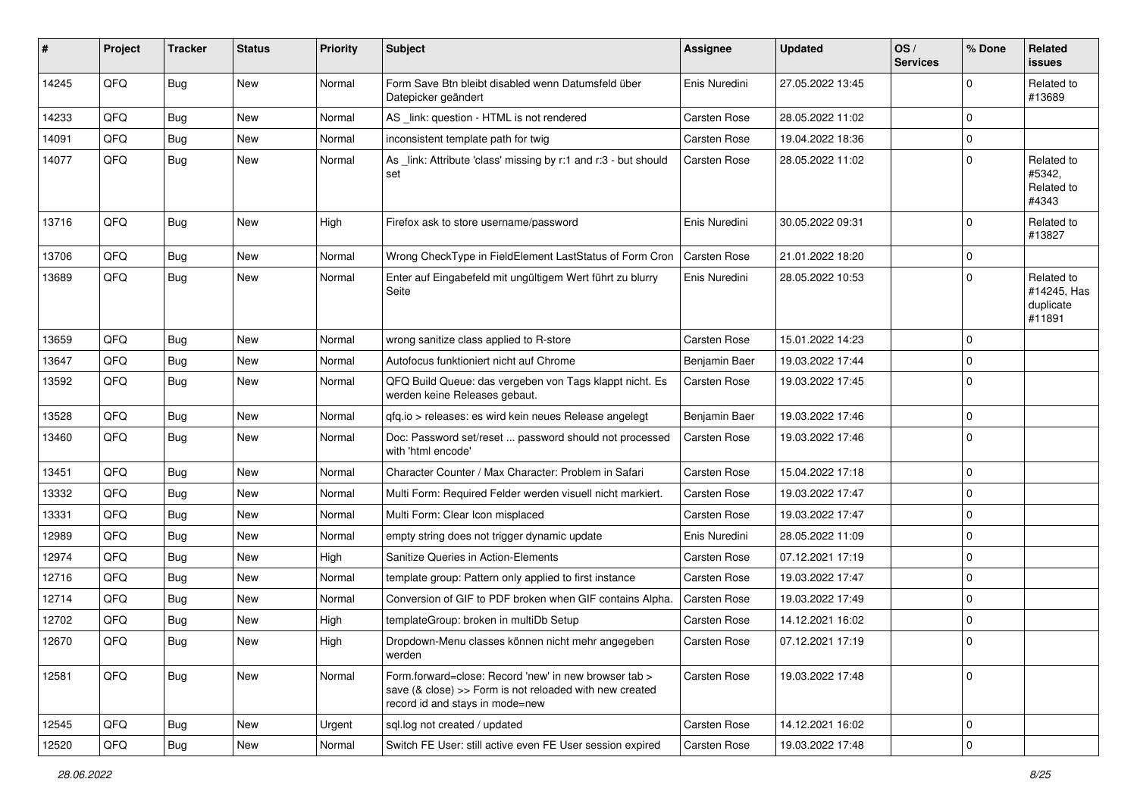| #     | Project | <b>Tracker</b> | <b>Status</b> | <b>Priority</b> | <b>Subject</b>                                                                                                                                      | <b>Assignee</b>     | <b>Updated</b>   | OS/<br><b>Services</b> | % Done      | <b>Related</b><br>issues                         |
|-------|---------|----------------|---------------|-----------------|-----------------------------------------------------------------------------------------------------------------------------------------------------|---------------------|------------------|------------------------|-------------|--------------------------------------------------|
| 14245 | QFQ     | Bug            | New           | Normal          | Form Save Btn bleibt disabled wenn Datumsfeld über<br>Datepicker geändert                                                                           | Enis Nuredini       | 27.05.2022 13:45 |                        | $\mathbf 0$ | Related to<br>#13689                             |
| 14233 | QFQ     | <b>Bug</b>     | <b>New</b>    | Normal          | AS _link: question - HTML is not rendered                                                                                                           | <b>Carsten Rose</b> | 28.05.2022 11:02 |                        | $\Omega$    |                                                  |
| 14091 | QFQ     | <b>Bug</b>     | New           | Normal          | inconsistent template path for twig                                                                                                                 | <b>Carsten Rose</b> | 19.04.2022 18:36 |                        | 0           |                                                  |
| 14077 | QFQ     | <b>Bug</b>     | New           | Normal          | As _link: Attribute 'class' missing by r:1 and r:3 - but should<br>set                                                                              | Carsten Rose        | 28.05.2022 11:02 |                        | $\Omega$    | Related to<br>#5342,<br>Related to<br>#4343      |
| 13716 | QFQ     | <b>Bug</b>     | New           | High            | Firefox ask to store username/password                                                                                                              | Enis Nuredini       | 30.05.2022 09:31 |                        | $\mathbf 0$ | Related to<br>#13827                             |
| 13706 | QFQ     | <b>Bug</b>     | <b>New</b>    | Normal          | Wrong CheckType in FieldElement LastStatus of Form Cron                                                                                             | Carsten Rose        | 21.01.2022 18:20 |                        | $\mathbf 0$ |                                                  |
| 13689 | QFQ     | <b>Bug</b>     | New           | Normal          | Enter auf Eingabefeld mit ungültigem Wert führt zu blurry<br>Seite                                                                                  | Enis Nuredini       | 28.05.2022 10:53 |                        | $\Omega$    | Related to<br>#14245, Has<br>duplicate<br>#11891 |
| 13659 | QFQ     | <b>Bug</b>     | New           | Normal          | wrong sanitize class applied to R-store                                                                                                             | Carsten Rose        | 15.01.2022 14:23 |                        | $\Omega$    |                                                  |
| 13647 | QFQ     | <b>Bug</b>     | <b>New</b>    | Normal          | Autofocus funktioniert nicht auf Chrome                                                                                                             | Benjamin Baer       | 19.03.2022 17:44 |                        | $\mathbf 0$ |                                                  |
| 13592 | QFQ     | <b>Bug</b>     | New           | Normal          | QFQ Build Queue: das vergeben von Tags klappt nicht. Es<br>werden keine Releases gebaut.                                                            | <b>Carsten Rose</b> | 19.03.2022 17:45 |                        | $\mathbf 0$ |                                                  |
| 13528 | QFQ     | <b>Bug</b>     | <b>New</b>    | Normal          | qfq.io > releases: es wird kein neues Release angelegt                                                                                              | Benjamin Baer       | 19.03.2022 17:46 |                        | $\mathbf 0$ |                                                  |
| 13460 | QFQ     | <b>Bug</b>     | <b>New</b>    | Normal          | Doc: Password set/reset  password should not processed<br>with 'html encode'                                                                        | Carsten Rose        | 19.03.2022 17:46 |                        | $\mathbf 0$ |                                                  |
| 13451 | QFQ     | <b>Bug</b>     | <b>New</b>    | Normal          | Character Counter / Max Character: Problem in Safari                                                                                                | <b>Carsten Rose</b> | 15.04.2022 17:18 |                        | $\mathbf 0$ |                                                  |
| 13332 | QFQ     | <b>Bug</b>     | New           | Normal          | Multi Form: Required Felder werden visuell nicht markiert.                                                                                          | Carsten Rose        | 19.03.2022 17:47 |                        | $\mathbf 0$ |                                                  |
| 13331 | QFQ     | <b>Bug</b>     | <b>New</b>    | Normal          | Multi Form: Clear Icon misplaced                                                                                                                    | Carsten Rose        | 19.03.2022 17:47 |                        | $\mathbf 0$ |                                                  |
| 12989 | QFQ     | <b>Bug</b>     | New           | Normal          | empty string does not trigger dynamic update                                                                                                        | Enis Nuredini       | 28.05.2022 11:09 |                        | $\mathbf 0$ |                                                  |
| 12974 | QFQ     | <b>Bug</b>     | <b>New</b>    | High            | Sanitize Queries in Action-Elements                                                                                                                 | <b>Carsten Rose</b> | 07.12.2021 17:19 |                        | $\mathbf 0$ |                                                  |
| 12716 | QFQ     | <b>Bug</b>     | New           | Normal          | template group: Pattern only applied to first instance                                                                                              | <b>Carsten Rose</b> | 19.03.2022 17:47 |                        | $\mathbf 0$ |                                                  |
| 12714 | QFQ     | <b>Bug</b>     | New           | Normal          | Conversion of GIF to PDF broken when GIF contains Alpha.                                                                                            | <b>Carsten Rose</b> | 19.03.2022 17:49 |                        | $\mathbf 0$ |                                                  |
| 12702 | QFQ     | <b>Bug</b>     | New           | High            | templateGroup: broken in multiDb Setup                                                                                                              | <b>Carsten Rose</b> | 14.12.2021 16:02 |                        | $\mathbf 0$ |                                                  |
| 12670 | QFQ     | <b>Bug</b>     | New           | High            | Dropdown-Menu classes können nicht mehr angegeben<br>werden                                                                                         | Carsten Rose        | 07.12.2021 17:19 |                        | $\mathbf 0$ |                                                  |
| 12581 | QFQ     | Bug            | New           | Normal          | Form.forward=close: Record 'new' in new browser tab ><br>save (& close) >> Form is not reloaded with new created<br>record id and stays in mode=new | Carsten Rose        | 19.03.2022 17:48 |                        | $\mathbf 0$ |                                                  |
| 12545 | QFQ     | Bug            | New           | Urgent          | sql.log not created / updated                                                                                                                       | Carsten Rose        | 14.12.2021 16:02 |                        | $\mathbf 0$ |                                                  |
| 12520 | QFQ     | Bug            | New           | Normal          | Switch FE User: still active even FE User session expired                                                                                           | Carsten Rose        | 19.03.2022 17:48 |                        | 0           |                                                  |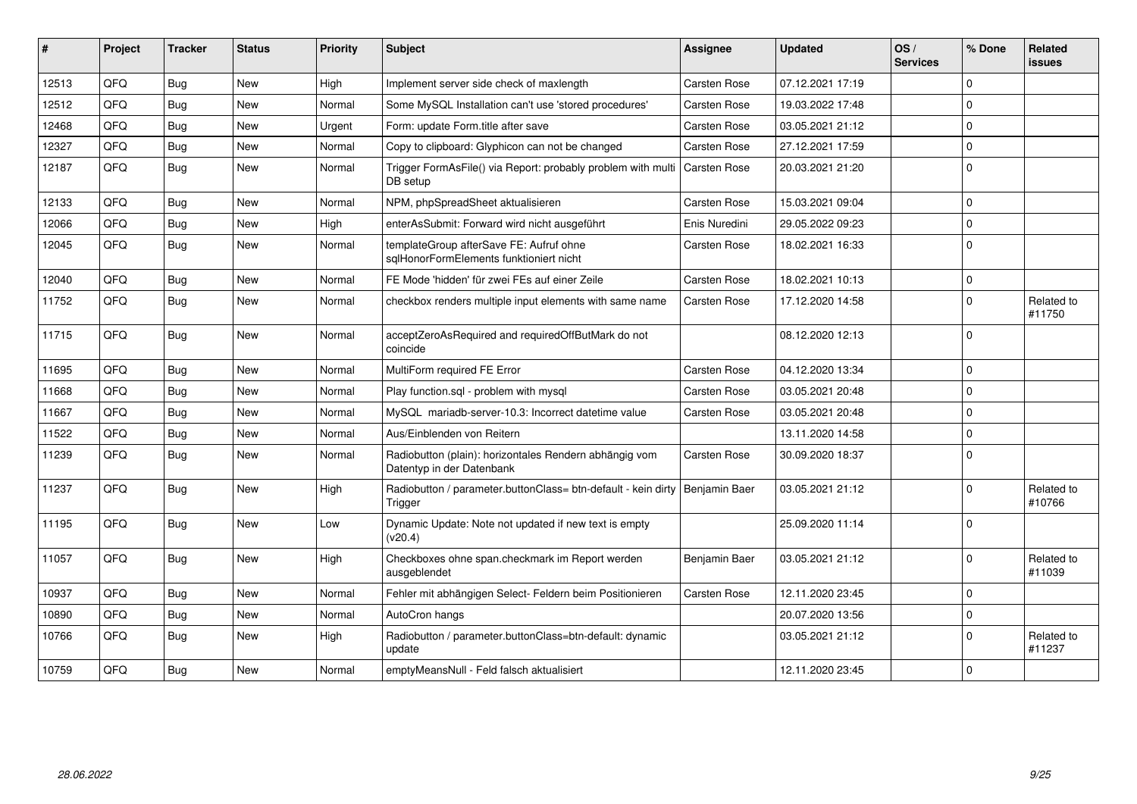| #     | Project | <b>Tracker</b> | <b>Status</b> | <b>Priority</b> | <b>Subject</b>                                                                      | <b>Assignee</b>     | <b>Updated</b>   | OS/<br><b>Services</b> | % Done      | <b>Related</b><br><b>issues</b> |
|-------|---------|----------------|---------------|-----------------|-------------------------------------------------------------------------------------|---------------------|------------------|------------------------|-------------|---------------------------------|
| 12513 | QFQ     | <b>Bug</b>     | <b>New</b>    | High            | Implement server side check of maxlength                                            | Carsten Rose        | 07.12.2021 17:19 |                        | $\Omega$    |                                 |
| 12512 | QFQ     | <b>Bug</b>     | <b>New</b>    | Normal          | Some MySQL Installation can't use 'stored procedures'                               | Carsten Rose        | 19.03.2022 17:48 |                        | $\Omega$    |                                 |
| 12468 | QFQ     | <b>Bug</b>     | <b>New</b>    | Urgent          | Form: update Form.title after save                                                  | Carsten Rose        | 03.05.2021 21:12 |                        | $\Omega$    |                                 |
| 12327 | QFQ     | Bug            | <b>New</b>    | Normal          | Copy to clipboard: Glyphicon can not be changed                                     | Carsten Rose        | 27.12.2021 17:59 |                        | $\Omega$    |                                 |
| 12187 | QFQ     | Bug            | <b>New</b>    | Normal          | Trigger FormAsFile() via Report: probably problem with multi<br>DB setup            | <b>Carsten Rose</b> | 20.03.2021 21:20 |                        | $\Omega$    |                                 |
| 12133 | QFQ     | Bug            | New           | Normal          | NPM, phpSpreadSheet aktualisieren                                                   | Carsten Rose        | 15.03.2021 09:04 |                        | $\Omega$    |                                 |
| 12066 | QFQ     | <b>Bug</b>     | <b>New</b>    | High            | enterAsSubmit: Forward wird nicht ausgeführt                                        | Enis Nuredini       | 29.05.2022 09:23 |                        | $\Omega$    |                                 |
| 12045 | QFQ     | Bug            | <b>New</b>    | Normal          | templateGroup afterSave FE: Aufruf ohne<br>sqlHonorFormElements funktioniert nicht  | Carsten Rose        | 18.02.2021 16:33 |                        | $\Omega$    |                                 |
| 12040 | QFQ     | Bug            | <b>New</b>    | Normal          | FE Mode 'hidden' für zwei FEs auf einer Zeile                                       | Carsten Rose        | 18.02.2021 10:13 |                        | $\Omega$    |                                 |
| 11752 | QFQ     | <b>Bug</b>     | <b>New</b>    | Normal          | checkbox renders multiple input elements with same name                             | Carsten Rose        | 17.12.2020 14:58 |                        | $\Omega$    | Related to<br>#11750            |
| 11715 | QFQ     | Bug            | New           | Normal          | acceptZeroAsRequired and requiredOffButMark do not<br>coincide                      |                     | 08.12.2020 12:13 |                        | $\Omega$    |                                 |
| 11695 | QFQ     | Bug            | <b>New</b>    | Normal          | MultiForm required FE Error                                                         | Carsten Rose        | 04.12.2020 13:34 |                        | $\mathbf 0$ |                                 |
| 11668 | QFQ     | Bug            | <b>New</b>    | Normal          | Play function.sql - problem with mysql                                              | Carsten Rose        | 03.05.2021 20:48 |                        | $\Omega$    |                                 |
| 11667 | QFQ     | <b>Bug</b>     | <b>New</b>    | Normal          | MySQL mariadb-server-10.3: Incorrect datetime value                                 | Carsten Rose        | 03.05.2021 20:48 |                        | $\Omega$    |                                 |
| 11522 | QFQ     | Bug            | <b>New</b>    | Normal          | Aus/Einblenden von Reitern                                                          |                     | 13.11.2020 14:58 |                        | $\Omega$    |                                 |
| 11239 | QFQ     | Bug            | <b>New</b>    | Normal          | Radiobutton (plain): horizontales Rendern abhängig vom<br>Datentyp in der Datenbank | Carsten Rose        | 30.09.2020 18:37 |                        | $\Omega$    |                                 |
| 11237 | QFQ     | Bug            | <b>New</b>    | High            | Radiobutton / parameter.buttonClass= btn-default - kein dirty<br>Trigger            | Benjamin Baer       | 03.05.2021 21:12 |                        | $\Omega$    | Related to<br>#10766            |
| 11195 | QFQ     | Bug            | <b>New</b>    | Low             | Dynamic Update: Note not updated if new text is empty<br>(v20.4)                    |                     | 25.09.2020 11:14 |                        | $\Omega$    |                                 |
| 11057 | QFQ     | Bug            | <b>New</b>    | High            | Checkboxes ohne span.checkmark im Report werden<br>ausgeblendet                     | Benjamin Baer       | 03.05.2021 21:12 |                        | $\Omega$    | Related to<br>#11039            |
| 10937 | QFQ     | Bug            | <b>New</b>    | Normal          | Fehler mit abhängigen Select- Feldern beim Positionieren                            | Carsten Rose        | 12.11.2020 23:45 |                        | $\Omega$    |                                 |
| 10890 | QFQ     | <b>Bug</b>     | <b>New</b>    | Normal          | AutoCron hangs                                                                      |                     | 20.07.2020 13:56 |                        | $\Omega$    |                                 |
| 10766 | QFQ     | <b>Bug</b>     | <b>New</b>    | High            | Radiobutton / parameter.buttonClass=btn-default: dynamic<br>update                  |                     | 03.05.2021 21:12 |                        | $\Omega$    | Related to<br>#11237            |
| 10759 | QFQ     | <b>Bug</b>     | <b>New</b>    | Normal          | emptyMeansNull - Feld falsch aktualisiert                                           |                     | 12.11.2020 23:45 |                        | $\mathbf 0$ |                                 |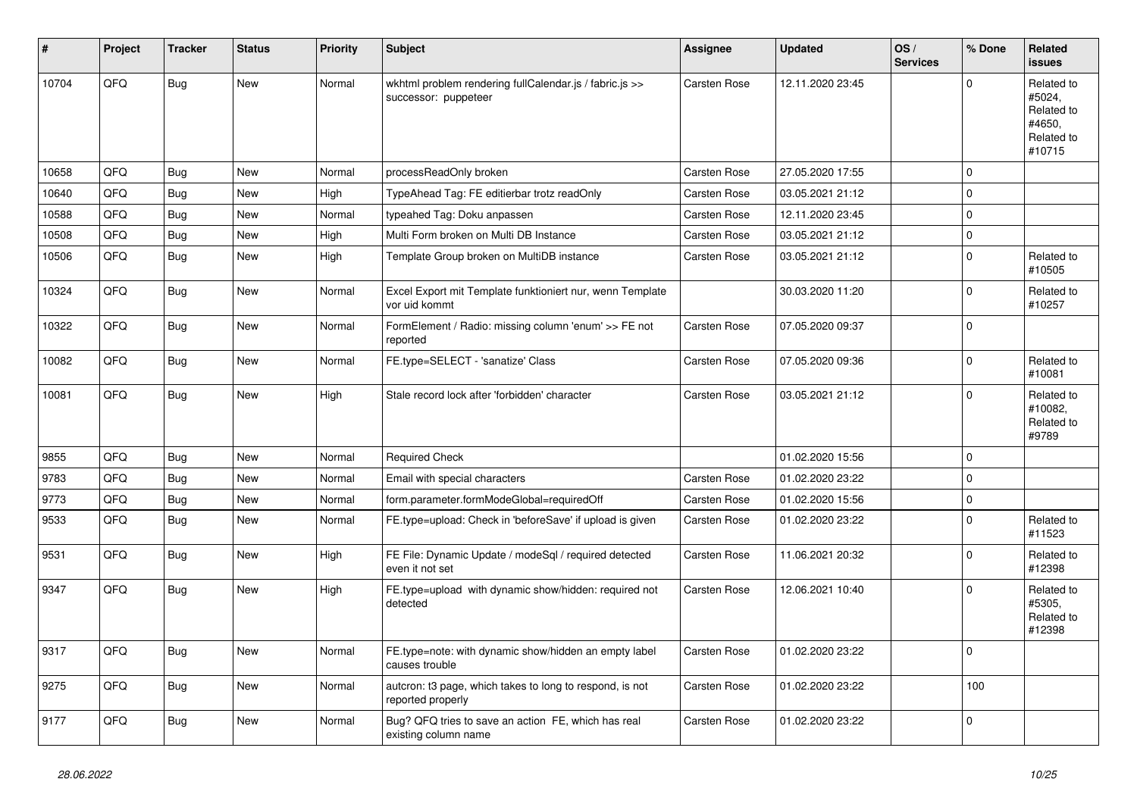| #     | Project | <b>Tracker</b> | <b>Status</b> | <b>Priority</b> | <b>Subject</b>                                                                  | <b>Assignee</b>     | <b>Updated</b>   | OS/<br><b>Services</b> | % Done       | Related<br><b>issues</b>                                             |
|-------|---------|----------------|---------------|-----------------|---------------------------------------------------------------------------------|---------------------|------------------|------------------------|--------------|----------------------------------------------------------------------|
| 10704 | QFQ     | <b>Bug</b>     | New           | Normal          | wkhtml problem rendering fullCalendar.js / fabric.js >><br>successor: puppeteer | Carsten Rose        | 12.11.2020 23:45 |                        | $\Omega$     | Related to<br>#5024,<br>Related to<br>#4650,<br>Related to<br>#10715 |
| 10658 | QFQ     | <b>Bug</b>     | <b>New</b>    | Normal          | processReadOnly broken                                                          | Carsten Rose        | 27.05.2020 17:55 |                        | $\mathbf 0$  |                                                                      |
| 10640 | QFQ     | <b>Bug</b>     | New           | High            | TypeAhead Tag: FE editierbar trotz readOnly                                     | <b>Carsten Rose</b> | 03.05.2021 21:12 |                        | $\mathbf 0$  |                                                                      |
| 10588 | QFQ     | Bug            | <b>New</b>    | Normal          | typeahed Tag: Doku anpassen                                                     | <b>Carsten Rose</b> | 12.11.2020 23:45 |                        | $\mathbf 0$  |                                                                      |
| 10508 | QFQ     | Bug            | <b>New</b>    | High            | Multi Form broken on Multi DB Instance                                          | Carsten Rose        | 03.05.2021 21:12 |                        | $\pmb{0}$    |                                                                      |
| 10506 | QFQ     | Bug            | New           | High            | Template Group broken on MultiDB instance                                       | Carsten Rose        | 03.05.2021 21:12 |                        | $\mathbf 0$  | Related to<br>#10505                                                 |
| 10324 | QFQ     | Bug            | <b>New</b>    | Normal          | Excel Export mit Template funktioniert nur, wenn Template<br>vor uid kommt      |                     | 30.03.2020 11:20 |                        | $\mathbf{0}$ | Related to<br>#10257                                                 |
| 10322 | QFQ     | Bug            | New           | Normal          | FormElement / Radio: missing column 'enum' >> FE not<br>reported                | Carsten Rose        | 07.05.2020 09:37 |                        | $\mathbf 0$  |                                                                      |
| 10082 | QFQ     | <b>Bug</b>     | New           | Normal          | FE.type=SELECT - 'sanatize' Class                                               | Carsten Rose        | 07.05.2020 09:36 |                        | $\Omega$     | Related to<br>#10081                                                 |
| 10081 | QFQ     | Bug            | New           | High            | Stale record lock after 'forbidden' character                                   | Carsten Rose        | 03.05.2021 21:12 |                        | $\Omega$     | Related to<br>#10082,<br>Related to<br>#9789                         |
| 9855  | QFQ     | <b>Bug</b>     | <b>New</b>    | Normal          | <b>Required Check</b>                                                           |                     | 01.02.2020 15:56 |                        | $\mathbf 0$  |                                                                      |
| 9783  | QFQ     | <b>Bug</b>     | <b>New</b>    | Normal          | Email with special characters                                                   | Carsten Rose        | 01.02.2020 23:22 |                        | $\mathbf 0$  |                                                                      |
| 9773  | QFQ     | Bug            | <b>New</b>    | Normal          | form.parameter.formModeGlobal=requiredOff                                       | Carsten Rose        | 01.02.2020 15:56 |                        | $\pmb{0}$    |                                                                      |
| 9533  | QFQ     | Bug            | New           | Normal          | FE.type=upload: Check in 'beforeSave' if upload is given                        | Carsten Rose        | 01.02.2020 23:22 |                        | $\mathbf 0$  | Related to<br>#11523                                                 |
| 9531  | QFQ     | <b>Bug</b>     | New           | High            | FE File: Dynamic Update / modeSql / required detected<br>even it not set        | Carsten Rose        | 11.06.2021 20:32 |                        | $\Omega$     | Related to<br>#12398                                                 |
| 9347  | QFQ     | Bug            | New           | High            | FE.type=upload with dynamic show/hidden: required not<br>detected               | Carsten Rose        | 12.06.2021 10:40 |                        | $\Omega$     | Related to<br>#5305,<br>Related to<br>#12398                         |
| 9317  | QFQ     | Bug            | <b>New</b>    | Normal          | FE.type=note: with dynamic show/hidden an empty label<br>causes trouble         | Carsten Rose        | 01.02.2020 23:22 |                        | $\Omega$     |                                                                      |
| 9275  | QFQ     | <b>Bug</b>     | <b>New</b>    | Normal          | autcron: t3 page, which takes to long to respond, is not<br>reported properly   | Carsten Rose        | 01.02.2020 23:22 |                        | 100          |                                                                      |
| 9177  | QFQ     | <b>Bug</b>     | <b>New</b>    | Normal          | Bug? QFQ tries to save an action FE, which has real<br>existing column name     | Carsten Rose        | 01.02.2020 23:22 |                        | $\mathbf 0$  |                                                                      |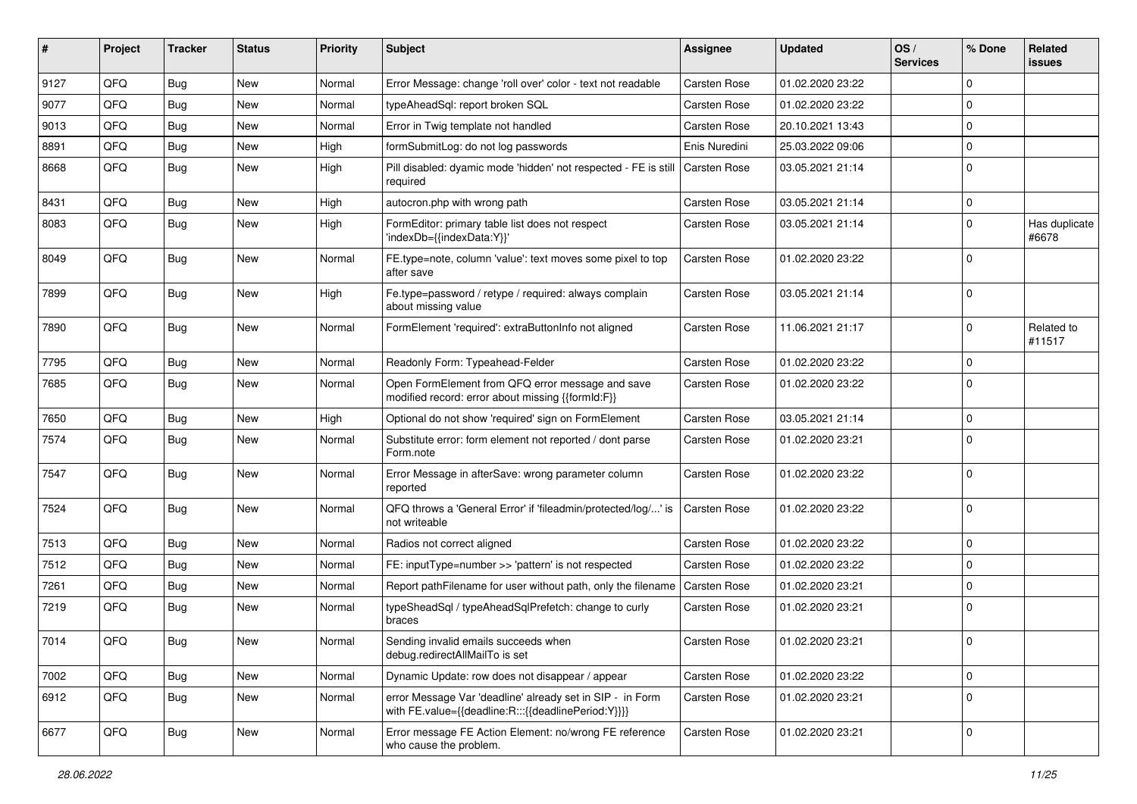| #    | Project | <b>Tracker</b> | <b>Status</b> | <b>Priority</b> | Subject                                                                                                          | Assignee            | <b>Updated</b>   | OS/<br><b>Services</b> | % Done      | Related<br><b>issues</b> |
|------|---------|----------------|---------------|-----------------|------------------------------------------------------------------------------------------------------------------|---------------------|------------------|------------------------|-------------|--------------------------|
| 9127 | QFQ     | <b>Bug</b>     | <b>New</b>    | Normal          | Error Message: change 'roll over' color - text not readable                                                      | <b>Carsten Rose</b> | 01.02.2020 23:22 |                        | $\Omega$    |                          |
| 9077 | QFQ     | <b>Bug</b>     | New           | Normal          | typeAheadSql: report broken SQL                                                                                  | Carsten Rose        | 01.02.2020 23:22 |                        | $\Omega$    |                          |
| 9013 | QFQ     | <b>Bug</b>     | New           | Normal          | Error in Twig template not handled                                                                               | Carsten Rose        | 20.10.2021 13:43 |                        | $\Omega$    |                          |
| 8891 | QFQ     | Bug            | <b>New</b>    | High            | formSubmitLog: do not log passwords                                                                              | Enis Nuredini       | 25.03.2022 09:06 |                        | $\Omega$    |                          |
| 8668 | QFQ     | <b>Bug</b>     | <b>New</b>    | High            | Pill disabled: dyamic mode 'hidden' not respected - FE is still<br>required                                      | Carsten Rose        | 03.05.2021 21:14 |                        | $\Omega$    |                          |
| 8431 | QFQ     | <b>Bug</b>     | <b>New</b>    | High            | autocron.php with wrong path                                                                                     | Carsten Rose        | 03.05.2021 21:14 |                        | $\Omega$    |                          |
| 8083 | QFQ     | Bug            | New           | High            | FormEditor: primary table list does not respect<br>'indexDb={{indexData:Y}}'                                     | Carsten Rose        | 03.05.2021 21:14 |                        | $\Omega$    | Has duplicate<br>#6678   |
| 8049 | QFQ     | Bug            | <b>New</b>    | Normal          | FE.type=note, column 'value': text moves some pixel to top<br>after save                                         | Carsten Rose        | 01.02.2020 23:22 |                        | $\Omega$    |                          |
| 7899 | QFQ     | <b>Bug</b>     | <b>New</b>    | High            | Fe.type=password / retype / required: always complain<br>about missing value                                     | Carsten Rose        | 03.05.2021 21:14 |                        | $\Omega$    |                          |
| 7890 | QFQ     | <b>Bug</b>     | New           | Normal          | FormElement 'required': extraButtonInfo not aligned                                                              | Carsten Rose        | 11.06.2021 21:17 |                        | $\Omega$    | Related to<br>#11517     |
| 7795 | QFQ     | Bug            | <b>New</b>    | Normal          | Readonly Form: Typeahead-Felder                                                                                  | Carsten Rose        | 01.02.2020 23:22 |                        | $\Omega$    |                          |
| 7685 | QFQ     | <b>Bug</b>     | New           | Normal          | Open FormElement from QFQ error message and save<br>modified record: error about missing {{formId:F}}            | Carsten Rose        | 01.02.2020 23:22 |                        | $\Omega$    |                          |
| 7650 | QFQ     | Bug            | <b>New</b>    | High            | Optional do not show 'required' sign on FormElement                                                              | Carsten Rose        | 03.05.2021 21:14 |                        | $\Omega$    |                          |
| 7574 | QFQ     | <b>Bug</b>     | <b>New</b>    | Normal          | Substitute error: form element not reported / dont parse<br>Form.note                                            | Carsten Rose        | 01.02.2020 23:21 |                        | $\Omega$    |                          |
| 7547 | QFQ     | Bug            | New           | Normal          | Error Message in afterSave: wrong parameter column<br>reported                                                   | Carsten Rose        | 01.02.2020 23:22 |                        | $\Omega$    |                          |
| 7524 | QFQ     | Bug            | <b>New</b>    | Normal          | QFQ throws a 'General Error' if 'fileadmin/protected/log/' is<br>not writeable                                   | Carsten Rose        | 01.02.2020 23:22 |                        | $\Omega$    |                          |
| 7513 | QFQ     | Bug            | <b>New</b>    | Normal          | Radios not correct aligned                                                                                       | Carsten Rose        | 01.02.2020 23:22 |                        | $\mathbf 0$ |                          |
| 7512 | QFQ     | Bug            | New           | Normal          | FE: inputType=number >> 'pattern' is not respected                                                               | Carsten Rose        | 01.02.2020 23:22 |                        | $\Omega$    |                          |
| 7261 | QFQ     | Bug            | <b>New</b>    | Normal          | Report pathFilename for user without path, only the filename                                                     | Carsten Rose        | 01.02.2020 23:21 |                        | $\Omega$    |                          |
| 7219 | QFQ     | <b>Bug</b>     | New           | Normal          | typeSheadSql / typeAheadSqlPrefetch: change to curly<br>braces                                                   | Carsten Rose        | 01.02.2020 23:21 |                        | $\Omega$    |                          |
| 7014 | QFQ     | <b>Bug</b>     | New           | Normal          | Sending invalid emails succeeds when<br>debug.redirectAllMailTo is set                                           | Carsten Rose        | 01.02.2020 23:21 |                        | 0           |                          |
| 7002 | QFQ     | Bug            | New           | Normal          | Dynamic Update: row does not disappear / appear                                                                  | Carsten Rose        | 01.02.2020 23:22 |                        | $\pmb{0}$   |                          |
| 6912 | QFQ     | Bug            | New           | Normal          | error Message Var 'deadline' already set in SIP - in Form<br>with FE.value={{deadline:R:::{{deadlinePeriod:Y}}}} | Carsten Rose        | 01.02.2020 23:21 |                        | $\Omega$    |                          |
| 6677 | QFQ     | <b>Bug</b>     | New           | Normal          | Error message FE Action Element: no/wrong FE reference<br>who cause the problem.                                 | Carsten Rose        | 01.02.2020 23:21 |                        | $\mathbf 0$ |                          |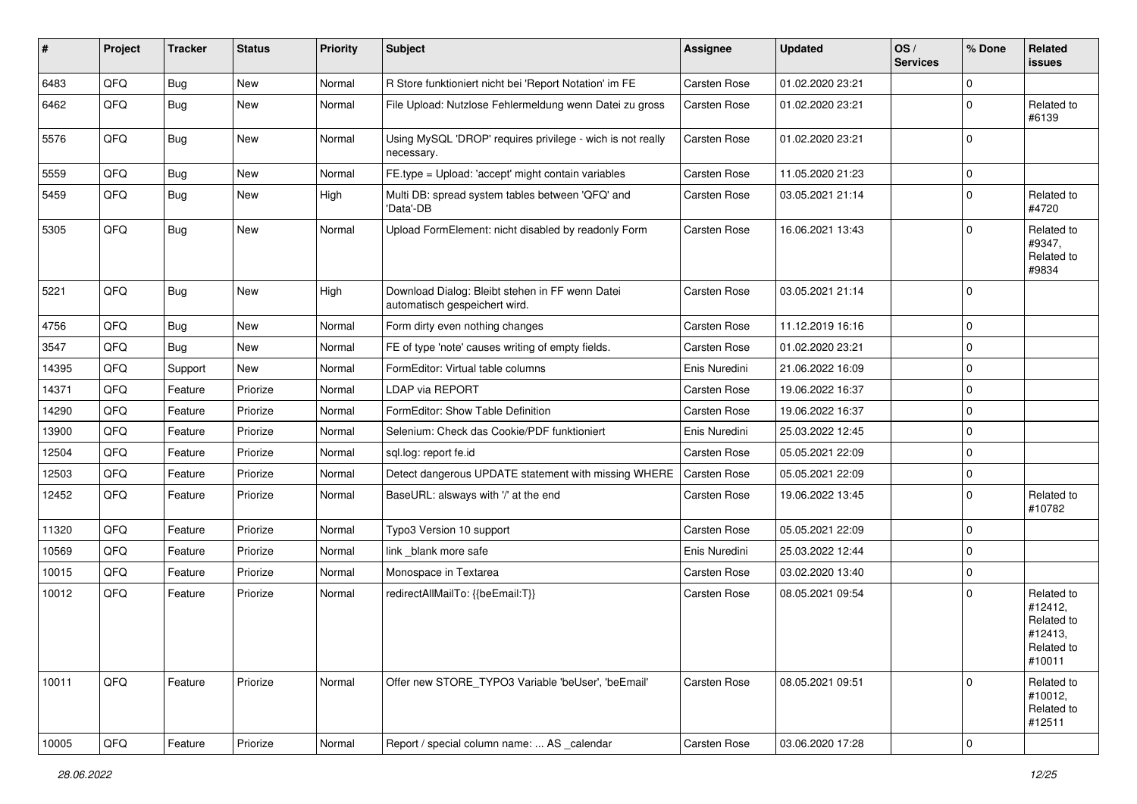| #     | Project | <b>Tracker</b> | <b>Status</b> | <b>Priority</b> | <b>Subject</b>                                                                   | Assignee            | <b>Updated</b>   | OS/<br><b>Services</b> | % Done       | Related<br>issues                                                      |
|-------|---------|----------------|---------------|-----------------|----------------------------------------------------------------------------------|---------------------|------------------|------------------------|--------------|------------------------------------------------------------------------|
| 6483  | QFQ     | Bug            | New           | Normal          | R Store funktioniert nicht bei 'Report Notation' im FE                           | Carsten Rose        | 01.02.2020 23:21 |                        | $\mathbf 0$  |                                                                        |
| 6462  | QFQ     | <b>Bug</b>     | New           | Normal          | File Upload: Nutzlose Fehlermeldung wenn Datei zu gross                          | Carsten Rose        | 01.02.2020 23:21 |                        | $\mathbf 0$  | Related to<br>#6139                                                    |
| 5576  | QFQ     | <b>Bug</b>     | New           | Normal          | Using MySQL 'DROP' requires privilege - wich is not really<br>necessary.         | Carsten Rose        | 01.02.2020 23:21 |                        | $\mathbf{0}$ |                                                                        |
| 5559  | QFQ     | Bug            | New           | Normal          | FE.type = Upload: 'accept' might contain variables                               | Carsten Rose        | 11.05.2020 21:23 |                        | $\mathbf 0$  |                                                                        |
| 5459  | QFQ     | <b>Bug</b>     | New           | High            | Multi DB: spread system tables between 'QFQ' and<br>'Data'-DB                    | Carsten Rose        | 03.05.2021 21:14 |                        | $\mathbf 0$  | Related to<br>#4720                                                    |
| 5305  | QFQ     | Bug            | New           | Normal          | Upload FormElement: nicht disabled by readonly Form                              | Carsten Rose        | 16.06.2021 13:43 |                        | $\Omega$     | Related to<br>#9347,<br>Related to<br>#9834                            |
| 5221  | QFQ     | <b>Bug</b>     | New           | High            | Download Dialog: Bleibt stehen in FF wenn Datei<br>automatisch gespeichert wird. | Carsten Rose        | 03.05.2021 21:14 |                        | $\mathbf 0$  |                                                                        |
| 4756  | QFQ     | <b>Bug</b>     | New           | Normal          | Form dirty even nothing changes                                                  | <b>Carsten Rose</b> | 11.12.2019 16:16 |                        | $\mathbf 0$  |                                                                        |
| 3547  | QFQ     | Bug            | New           | Normal          | FE of type 'note' causes writing of empty fields.                                | Carsten Rose        | 01.02.2020 23:21 |                        | $\mathbf 0$  |                                                                        |
| 14395 | QFQ     | Support        | New           | Normal          | FormEditor: Virtual table columns                                                | Enis Nuredini       | 21.06.2022 16:09 |                        | $\mathbf 0$  |                                                                        |
| 14371 | QFQ     | Feature        | Priorize      | Normal          | LDAP via REPORT                                                                  | <b>Carsten Rose</b> | 19.06.2022 16:37 |                        | $\mathbf 0$  |                                                                        |
| 14290 | QFQ     | Feature        | Priorize      | Normal          | FormEditor: Show Table Definition                                                | Carsten Rose        | 19.06.2022 16:37 |                        | $\mathbf 0$  |                                                                        |
| 13900 | QFQ     | Feature        | Priorize      | Normal          | Selenium: Check das Cookie/PDF funktioniert                                      | Enis Nuredini       | 25.03.2022 12:45 |                        | $\mathbf 0$  |                                                                        |
| 12504 | QFQ     | Feature        | Priorize      | Normal          | sql.log: report fe.id                                                            | <b>Carsten Rose</b> | 05.05.2021 22:09 |                        | 0            |                                                                        |
| 12503 | QFQ     | Feature        | Priorize      | Normal          | Detect dangerous UPDATE statement with missing WHERE                             | Carsten Rose        | 05.05.2021 22:09 |                        | 0            |                                                                        |
| 12452 | QFQ     | Feature        | Priorize      | Normal          | BaseURL: alsways with '/' at the end                                             | Carsten Rose        | 19.06.2022 13:45 |                        | $\mathbf 0$  | Related to<br>#10782                                                   |
| 11320 | QFQ     | Feature        | Priorize      | Normal          | Typo3 Version 10 support                                                         | Carsten Rose        | 05.05.2021 22:09 |                        | $\mathbf 0$  |                                                                        |
| 10569 | QFQ     | Feature        | Priorize      | Normal          | link _blank more safe                                                            | Enis Nuredini       | 25.03.2022 12:44 |                        | 0            |                                                                        |
| 10015 | QFQ     | Feature        | Priorize      | Normal          | Monospace in Textarea                                                            | Carsten Rose        | 03.02.2020 13:40 |                        | $\mathbf 0$  |                                                                        |
| 10012 | QFQ     | Feature        | Priorize      | Normal          | redirectAllMailTo: {{beEmail:T}}                                                 | Carsten Rose        | 08.05.2021 09:54 |                        | $\mathbf 0$  | Related to<br>#12412,<br>Related to<br>#12413,<br>Related to<br>#10011 |
| 10011 | QFQ     | Feature        | Priorize      | Normal          | Offer new STORE_TYPO3 Variable 'beUser', 'beEmail'                               | Carsten Rose        | 08.05.2021 09:51 |                        | $\mathbf 0$  | Related to<br>#10012,<br>Related to<br>#12511                          |
| 10005 | QFQ     | Feature        | Priorize      | Normal          | Report / special column name:  AS calendar                                       | Carsten Rose        | 03.06.2020 17:28 |                        | $\pmb{0}$    |                                                                        |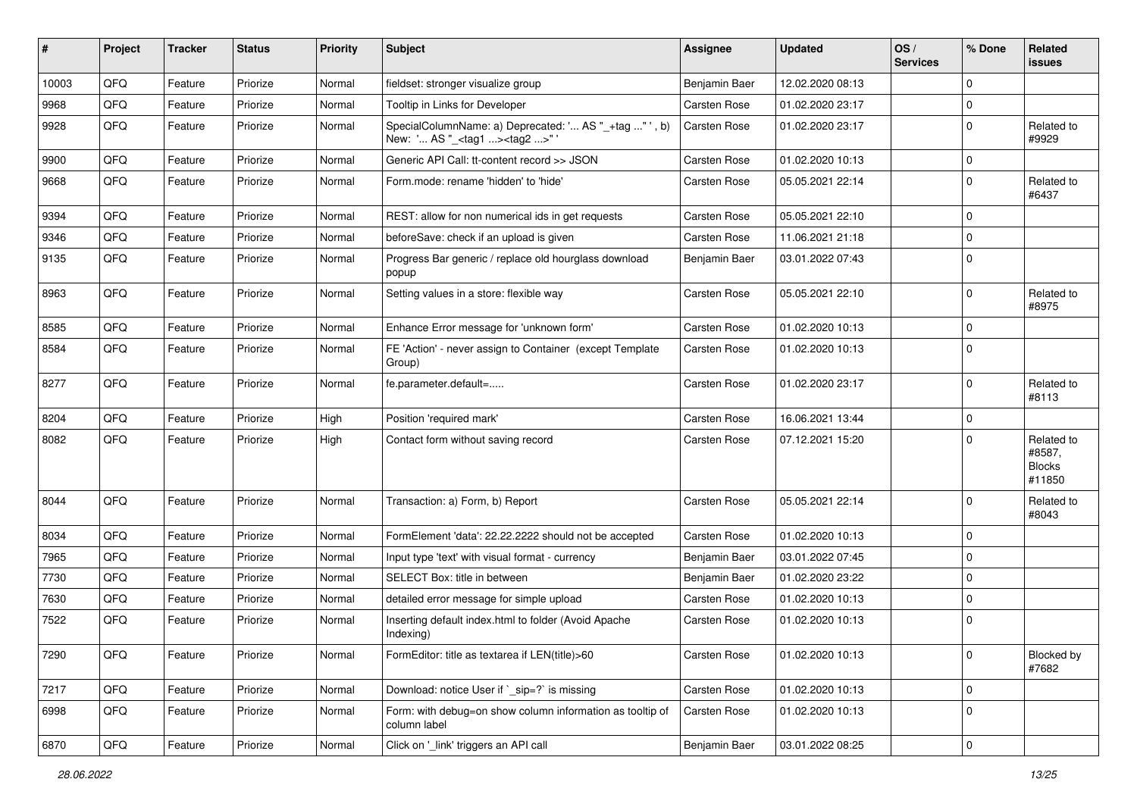| #     | Project | <b>Tracker</b> | <b>Status</b> | <b>Priority</b> | Subject                                                                                             | <b>Assignee</b>     | <b>Updated</b>   | OS/<br><b>Services</b> | % Done      | Related<br>issues                               |
|-------|---------|----------------|---------------|-----------------|-----------------------------------------------------------------------------------------------------|---------------------|------------------|------------------------|-------------|-------------------------------------------------|
| 10003 | QFQ     | Feature        | Priorize      | Normal          | fieldset: stronger visualize group                                                                  | Benjamin Baer       | 12.02.2020 08:13 |                        | $\mathbf 0$ |                                                 |
| 9968  | QFQ     | Feature        | Priorize      | Normal          | Tooltip in Links for Developer                                                                      | Carsten Rose        | 01.02.2020 23:17 |                        | $\mathbf 0$ |                                                 |
| 9928  | QFQ     | Feature        | Priorize      | Normal          | SpecialColumnName: a) Deprecated: ' AS "_+tag " ', b)<br>New: ' AS "_ <tag1><tag2>" '</tag2></tag1> | Carsten Rose        | 01.02.2020 23:17 |                        | $\mathbf 0$ | Related to<br>#9929                             |
| 9900  | QFQ     | Feature        | Priorize      | Normal          | Generic API Call: tt-content record >> JSON                                                         | Carsten Rose        | 01.02.2020 10:13 |                        | $\mathbf 0$ |                                                 |
| 9668  | QFQ     | Feature        | Priorize      | Normal          | Form.mode: rename 'hidden' to 'hide'                                                                | <b>Carsten Rose</b> | 05.05.2021 22:14 |                        | $\mathbf 0$ | Related to<br>#6437                             |
| 9394  | QFQ     | Feature        | Priorize      | Normal          | REST: allow for non numerical ids in get requests                                                   | Carsten Rose        | 05.05.2021 22:10 |                        | 0           |                                                 |
| 9346  | QFQ     | Feature        | Priorize      | Normal          | beforeSave: check if an upload is given                                                             | Carsten Rose        | 11.06.2021 21:18 |                        | $\mathbf 0$ |                                                 |
| 9135  | QFQ     | Feature        | Priorize      | Normal          | Progress Bar generic / replace old hourglass download<br>popup                                      | Benjamin Baer       | 03.01.2022 07:43 |                        | $\mathbf 0$ |                                                 |
| 8963  | QFQ     | Feature        | Priorize      | Normal          | Setting values in a store: flexible way                                                             | Carsten Rose        | 05.05.2021 22:10 |                        | $\mathbf 0$ | Related to<br>#8975                             |
| 8585  | QFQ     | Feature        | Priorize      | Normal          | Enhance Error message for 'unknown form'                                                            | Carsten Rose        | 01.02.2020 10:13 |                        | $\mathbf 0$ |                                                 |
| 8584  | QFQ     | Feature        | Priorize      | Normal          | FE 'Action' - never assign to Container (except Template<br>Group)                                  | Carsten Rose        | 01.02.2020 10:13 |                        | $\mathbf 0$ |                                                 |
| 8277  | QFQ     | Feature        | Priorize      | Normal          | fe.parameter.default=                                                                               | <b>Carsten Rose</b> | 01.02.2020 23:17 |                        | $\mathbf 0$ | Related to<br>#8113                             |
| 8204  | QFQ     | Feature        | Priorize      | High            | Position 'required mark'                                                                            | Carsten Rose        | 16.06.2021 13:44 |                        | $\pmb{0}$   |                                                 |
| 8082  | QFQ     | Feature        | Priorize      | High            | Contact form without saving record                                                                  | Carsten Rose        | 07.12.2021 15:20 |                        | $\mathbf 0$ | Related to<br>#8587,<br><b>Blocks</b><br>#11850 |
| 8044  | QFQ     | Feature        | Priorize      | Normal          | Transaction: a) Form, b) Report                                                                     | Carsten Rose        | 05.05.2021 22:14 |                        | $\mathbf 0$ | Related to<br>#8043                             |
| 8034  | QFQ     | Feature        | Priorize      | Normal          | FormElement 'data': 22.22.2222 should not be accepted                                               | Carsten Rose        | 01.02.2020 10:13 |                        | $\mathbf 0$ |                                                 |
| 7965  | QFQ     | Feature        | Priorize      | Normal          | Input type 'text' with visual format - currency                                                     | Benjamin Baer       | 03.01.2022 07:45 |                        | $\mathbf 0$ |                                                 |
| 7730  | QFQ     | Feature        | Priorize      | Normal          | SELECT Box: title in between                                                                        | Benjamin Baer       | 01.02.2020 23:22 |                        | $\mathbf 0$ |                                                 |
| 7630  | QFQ     | Feature        | Priorize      | Normal          | detailed error message for simple upload                                                            | Carsten Rose        | 01.02.2020 10:13 |                        | $\mathbf 0$ |                                                 |
| 7522  | QFQ     | Feature        | Priorize      | Normal          | Inserting default index.html to folder (Avoid Apache<br>Indexing)                                   | Carsten Rose        | 01.02.2020 10:13 |                        | $\pmb{0}$   |                                                 |
| 7290  | QFQ     | Feature        | Priorize      | Normal          | FormEditor: title as textarea if LEN(title)>60                                                      | Carsten Rose        | 01.02.2020 10:13 |                        | $\pmb{0}$   | Blocked by<br>#7682                             |
| 7217  | QFQ     | Feature        | Priorize      | Normal          | Download: notice User if `_sip=?` is missing                                                        | Carsten Rose        | 01.02.2020 10:13 |                        | $\mathbf 0$ |                                                 |
| 6998  | QFQ     | Feature        | Priorize      | Normal          | Form: with debug=on show column information as tooltip of<br>column label                           | Carsten Rose        | 01.02.2020 10:13 |                        | $\mathbf 0$ |                                                 |
| 6870  | QFQ     | Feature        | Priorize      | Normal          | Click on '_link' triggers an API call                                                               | Benjamin Baer       | 03.01.2022 08:25 |                        | $\pmb{0}$   |                                                 |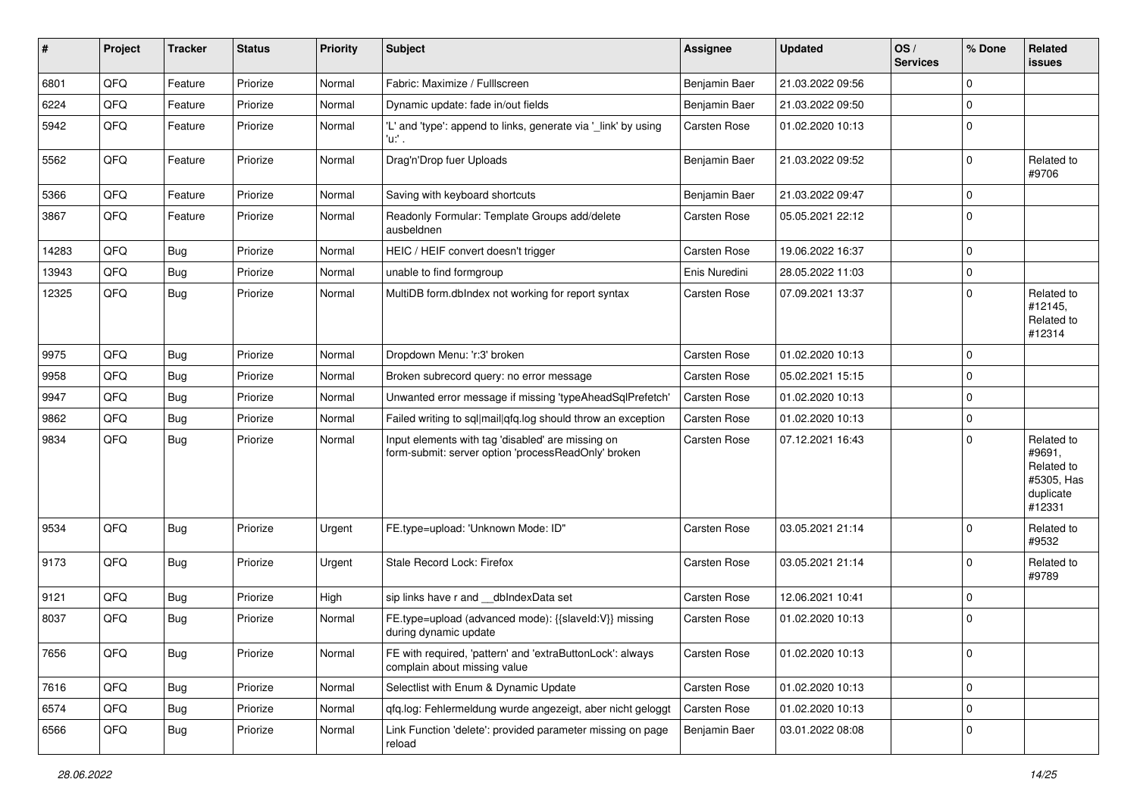| #     | Project | <b>Tracker</b> | <b>Status</b> | <b>Priority</b> | Subject                                                                                                  | <b>Assignee</b>     | <b>Updated</b>   | OS/<br><b>Services</b> | % Done      | Related<br>issues                                                       |
|-------|---------|----------------|---------------|-----------------|----------------------------------------------------------------------------------------------------------|---------------------|------------------|------------------------|-------------|-------------------------------------------------------------------------|
| 6801  | QFQ     | Feature        | Priorize      | Normal          | Fabric: Maximize / FullIscreen                                                                           | Benjamin Baer       | 21.03.2022 09:56 |                        | $\mathbf 0$ |                                                                         |
| 6224  | QFQ     | Feature        | Priorize      | Normal          | Dynamic update: fade in/out fields                                                                       | Benjamin Baer       | 21.03.2022 09:50 |                        | $\mathbf 0$ |                                                                         |
| 5942  | QFQ     | Feature        | Priorize      | Normal          | 'L' and 'type': append to links, generate via '_link' by using<br>'u:' .                                 | Carsten Rose        | 01.02.2020 10:13 |                        | $\mathbf 0$ |                                                                         |
| 5562  | QFQ     | Feature        | Priorize      | Normal          | Drag'n'Drop fuer Uploads                                                                                 | Benjamin Baer       | 21.03.2022 09:52 |                        | $\mathbf 0$ | Related to<br>#9706                                                     |
| 5366  | QFQ     | Feature        | Priorize      | Normal          | Saving with keyboard shortcuts                                                                           | Benjamin Baer       | 21.03.2022 09:47 |                        | $\mathbf 0$ |                                                                         |
| 3867  | QFQ     | Feature        | Priorize      | Normal          | Readonly Formular: Template Groups add/delete<br>ausbeldnen                                              | Carsten Rose        | 05.05.2021 22:12 |                        | $\mathbf 0$ |                                                                         |
| 14283 | QFQ     | Bug            | Priorize      | Normal          | HEIC / HEIF convert doesn't trigger                                                                      | Carsten Rose        | 19.06.2022 16:37 |                        | $\mathbf 0$ |                                                                         |
| 13943 | QFQ     | Bug            | Priorize      | Normal          | unable to find formgroup                                                                                 | Enis Nuredini       | 28.05.2022 11:03 |                        | $\pmb{0}$   |                                                                         |
| 12325 | QFQ     | <b>Bug</b>     | Priorize      | Normal          | MultiDB form.dblndex not working for report syntax                                                       | Carsten Rose        | 07.09.2021 13:37 |                        | $\mathbf 0$ | Related to<br>#12145,<br>Related to<br>#12314                           |
| 9975  | QFQ     | <b>Bug</b>     | Priorize      | Normal          | Dropdown Menu: 'r:3' broken                                                                              | Carsten Rose        | 01.02.2020 10:13 |                        | $\mathbf 0$ |                                                                         |
| 9958  | QFQ     | <b>Bug</b>     | Priorize      | Normal          | Broken subrecord query: no error message                                                                 | Carsten Rose        | 05.02.2021 15:15 |                        | $\mathbf 0$ |                                                                         |
| 9947  | QFQ     | Bug            | Priorize      | Normal          | Unwanted error message if missing 'typeAheadSqlPrefetch'                                                 | Carsten Rose        | 01.02.2020 10:13 |                        | $\mathbf 0$ |                                                                         |
| 9862  | QFQ     | <b>Bug</b>     | Priorize      | Normal          | Failed writing to sql mail qfq.log should throw an exception                                             | Carsten Rose        | 01.02.2020 10:13 |                        | $\pmb{0}$   |                                                                         |
| 9834  | QFQ     | Bug            | Priorize      | Normal          | Input elements with tag 'disabled' are missing on<br>form-submit: server option 'processReadOnly' broken | Carsten Rose        | 07.12.2021 16:43 |                        | $\mathbf 0$ | Related to<br>#9691,<br>Related to<br>#5305, Has<br>duplicate<br>#12331 |
| 9534  | QFQ     | Bug            | Priorize      | Urgent          | FE.type=upload: 'Unknown Mode: ID"                                                                       | Carsten Rose        | 03.05.2021 21:14 |                        | $\mathbf 0$ | Related to<br>#9532                                                     |
| 9173  | QFQ     | <b>Bug</b>     | Priorize      | Urgent          | Stale Record Lock: Firefox                                                                               | Carsten Rose        | 03.05.2021 21:14 |                        | $\mathbf 0$ | Related to<br>#9789                                                     |
| 9121  | QFQ     | <b>Bug</b>     | Priorize      | High            | sip links have r and __dbIndexData set                                                                   | Carsten Rose        | 12.06.2021 10:41 |                        | $\mathbf 0$ |                                                                         |
| 8037  | QFQ     | <b>Bug</b>     | Priorize      | Normal          | FE.type=upload (advanced mode): {{slaveld:V}} missing<br>during dynamic update                           | <b>Carsten Rose</b> | 01.02.2020 10:13 |                        | $\mathbf 0$ |                                                                         |
| 7656  | QFQ     | <b>Bug</b>     | Priorize      | Normal          | FE with required, 'pattern' and 'extraButtonLock': always<br>complain about missing value                | Carsten Rose        | 01.02.2020 10:13 |                        | 0           |                                                                         |
| 7616  | QFQ     | <b>Bug</b>     | Priorize      | Normal          | Selectlist with Enum & Dynamic Update                                                                    | Carsten Rose        | 01.02.2020 10:13 |                        | $\mathbf 0$ |                                                                         |
| 6574  | QFQ     | <b>Bug</b>     | Priorize      | Normal          | qfq.log: Fehlermeldung wurde angezeigt, aber nicht geloggt                                               | Carsten Rose        | 01.02.2020 10:13 |                        | $\pmb{0}$   |                                                                         |
| 6566  | QFQ     | <b>Bug</b>     | Priorize      | Normal          | Link Function 'delete': provided parameter missing on page<br>reload                                     | Benjamin Baer       | 03.01.2022 08:08 |                        | 0           |                                                                         |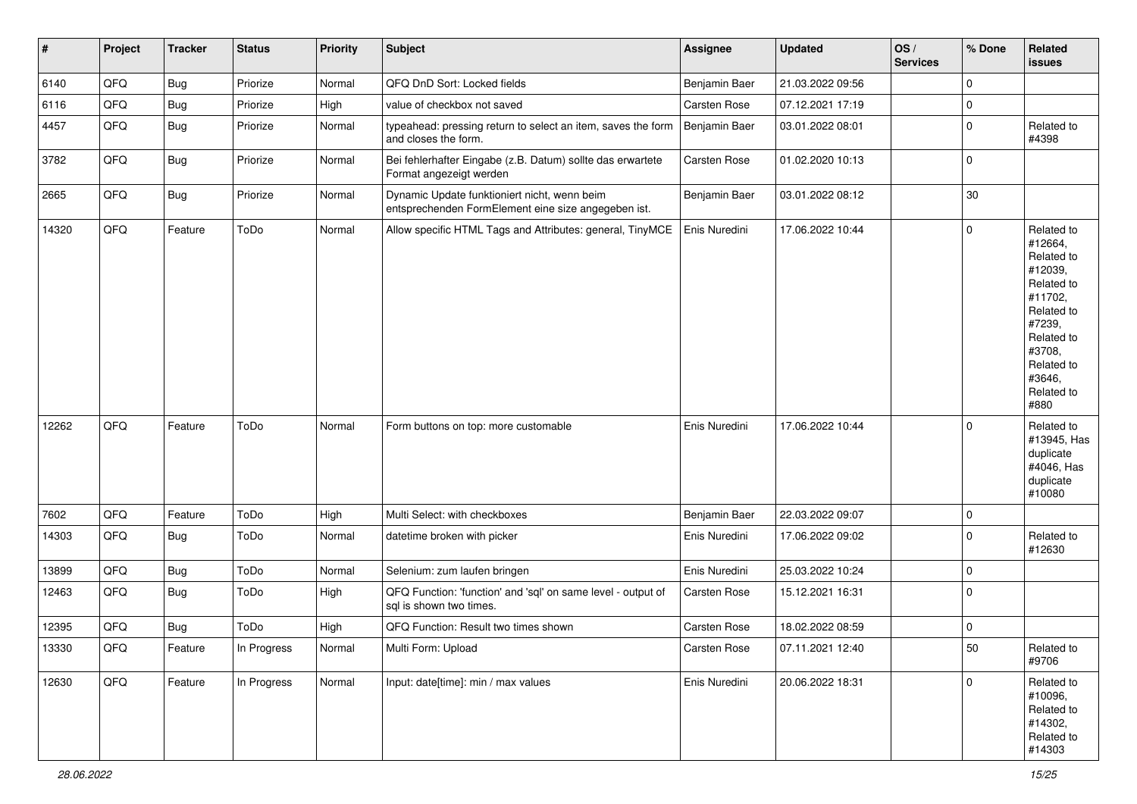| $\vert$ # | Project | <b>Tracker</b> | <b>Status</b> | Priority | <b>Subject</b>                                                                                      | <b>Assignee</b> | <b>Updated</b>   | OS/<br><b>Services</b> | % Done      | Related<br><b>issues</b>                                                                                                                                              |
|-----------|---------|----------------|---------------|----------|-----------------------------------------------------------------------------------------------------|-----------------|------------------|------------------------|-------------|-----------------------------------------------------------------------------------------------------------------------------------------------------------------------|
| 6140      | QFQ     | Bug            | Priorize      | Normal   | QFQ DnD Sort: Locked fields                                                                         | Benjamin Baer   | 21.03.2022 09:56 |                        | $\mathbf 0$ |                                                                                                                                                                       |
| 6116      | QFQ     | <b>Bug</b>     | Priorize      | High     | value of checkbox not saved                                                                         | Carsten Rose    | 07.12.2021 17:19 |                        | $\pmb{0}$   |                                                                                                                                                                       |
| 4457      | QFQ     | <b>Bug</b>     | Priorize      | Normal   | typeahead: pressing return to select an item, saves the form<br>and closes the form.                | Benjamin Baer   | 03.01.2022 08:01 |                        | 0           | Related to<br>#4398                                                                                                                                                   |
| 3782      | QFQ     | <b>Bug</b>     | Priorize      | Normal   | Bei fehlerhafter Eingabe (z.B. Datum) sollte das erwartete<br>Format angezeigt werden               | Carsten Rose    | 01.02.2020 10:13 |                        | $\mathbf 0$ |                                                                                                                                                                       |
| 2665      | QFQ     | <b>Bug</b>     | Priorize      | Normal   | Dynamic Update funktioniert nicht, wenn beim<br>entsprechenden FormElement eine size angegeben ist. | Benjamin Baer   | 03.01.2022 08:12 |                        | 30          |                                                                                                                                                                       |
| 14320     | QFQ     | Feature        | ToDo          | Normal   | Allow specific HTML Tags and Attributes: general, TinyMCE                                           | Enis Nuredini   | 17.06.2022 10:44 |                        | $\mathbf 0$ | Related to<br>#12664,<br>Related to<br>#12039,<br>Related to<br>#11702,<br>Related to<br>#7239,<br>Related to<br>#3708,<br>Related to<br>#3646,<br>Related to<br>#880 |
| 12262     | QFQ     | Feature        | ToDo          | Normal   | Form buttons on top: more customable                                                                | Enis Nuredini   | 17.06.2022 10:44 |                        | $\mathbf 0$ | Related to<br>#13945, Has<br>duplicate<br>#4046, Has<br>duplicate<br>#10080                                                                                           |
| 7602      | QFQ     | Feature        | ToDo          | High     | Multi Select: with checkboxes                                                                       | Benjamin Baer   | 22.03.2022 09:07 |                        | 0           |                                                                                                                                                                       |
| 14303     | QFQ     | Bug            | ToDo          | Normal   | datetime broken with picker                                                                         | Enis Nuredini   | 17.06.2022 09:02 |                        | $\mathbf 0$ | Related to<br>#12630                                                                                                                                                  |
| 13899     | QFQ     | <b>Bug</b>     | ToDo          | Normal   | Selenium: zum laufen bringen                                                                        | Enis Nuredini   | 25.03.2022 10:24 |                        | 0           |                                                                                                                                                                       |
| 12463     | QFQ     | Bug            | ToDo          | High     | QFQ Function: 'function' and 'sql' on same level - output of<br>sql is shown two times.             | Carsten Rose    | 15.12.2021 16:31 |                        | $\mathbf 0$ |                                                                                                                                                                       |
| 12395     | QFQ     | <b>Bug</b>     | ToDo          | High     | QFQ Function: Result two times shown                                                                | Carsten Rose    | 18.02.2022 08:59 |                        | $\mathbf 0$ |                                                                                                                                                                       |
| 13330     | QFQ     | Feature        | In Progress   | Normal   | Multi Form: Upload                                                                                  | Carsten Rose    | 07.11.2021 12:40 |                        | 50          | Related to<br>#9706                                                                                                                                                   |
| 12630     | QFG     | Feature        | In Progress   | Normal   | Input: date[time]: min / max values                                                                 | Enis Nuredini   | 20.06.2022 18:31 |                        | 0           | Related to<br>#10096,<br>Related to<br>#14302,<br>Related to<br>#14303                                                                                                |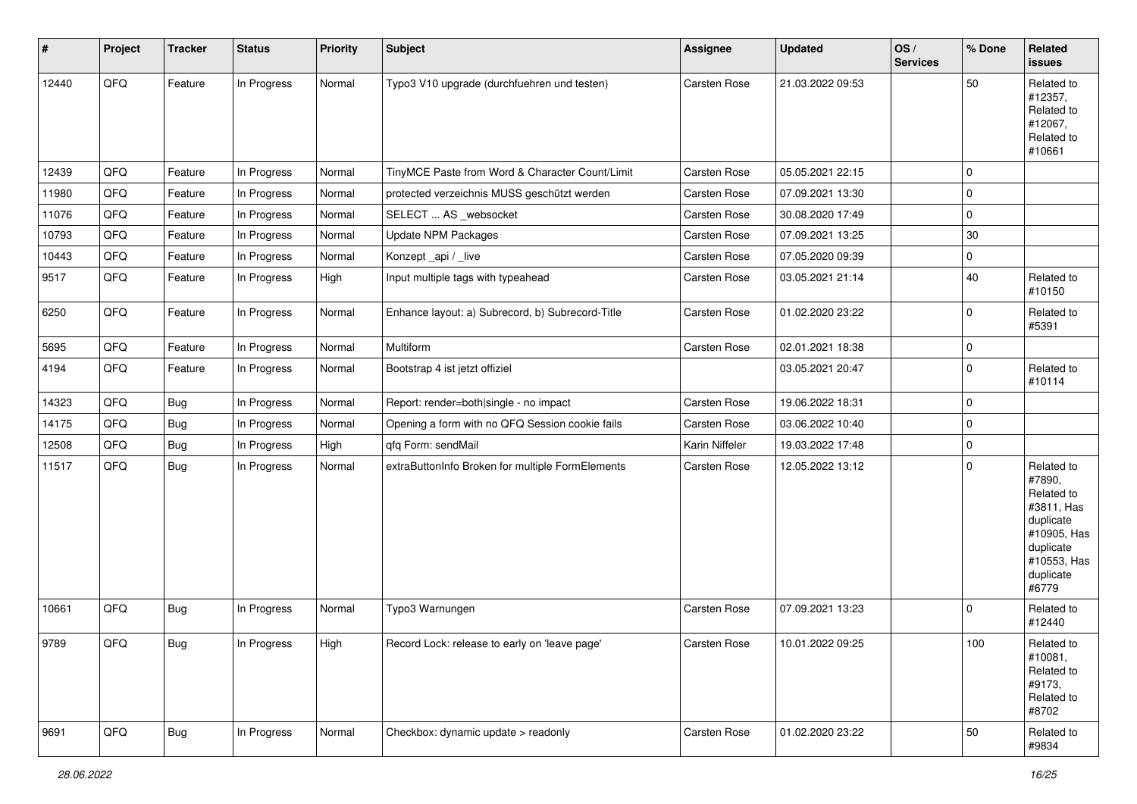| #     | Project | <b>Tracker</b> | <b>Status</b> | Priority | <b>Subject</b>                                   | Assignee       | <b>Updated</b>   | OS/<br><b>Services</b> | % Done   | Related<br>issues                                                                                                              |
|-------|---------|----------------|---------------|----------|--------------------------------------------------|----------------|------------------|------------------------|----------|--------------------------------------------------------------------------------------------------------------------------------|
| 12440 | QFQ     | Feature        | In Progress   | Normal   | Typo3 V10 upgrade (durchfuehren und testen)      | Carsten Rose   | 21.03.2022 09:53 |                        | 50       | Related to<br>#12357,<br>Related to<br>#12067,<br>Related to<br>#10661                                                         |
| 12439 | QFQ     | Feature        | In Progress   | Normal   | TinyMCE Paste from Word & Character Count/Limit  | Carsten Rose   | 05.05.2021 22:15 |                        | 0        |                                                                                                                                |
| 11980 | QFQ     | Feature        | In Progress   | Normal   | protected verzeichnis MUSS geschützt werden      | Carsten Rose   | 07.09.2021 13:30 |                        | $\Omega$ |                                                                                                                                |
| 11076 | QFQ     | Feature        | In Progress   | Normal   | SELECT  AS _websocket                            | Carsten Rose   | 30.08.2020 17:49 |                        | 0        |                                                                                                                                |
| 10793 | QFQ     | Feature        | In Progress   | Normal   | <b>Update NPM Packages</b>                       | Carsten Rose   | 07.09.2021 13:25 |                        | 30       |                                                                                                                                |
| 10443 | QFQ     | Feature        | In Progress   | Normal   | Konzept_api / _live                              | Carsten Rose   | 07.05.2020 09:39 |                        | $\Omega$ |                                                                                                                                |
| 9517  | QFQ     | Feature        | In Progress   | High     | Input multiple tags with typeahead               | Carsten Rose   | 03.05.2021 21:14 |                        | 40       | Related to<br>#10150                                                                                                           |
| 6250  | QFQ     | Feature        | In Progress   | Normal   | Enhance layout: a) Subrecord, b) Subrecord-Title | Carsten Rose   | 01.02.2020 23:22 |                        | 0        | Related to<br>#5391                                                                                                            |
| 5695  | QFQ     | Feature        | In Progress   | Normal   | Multiform                                        | Carsten Rose   | 02.01.2021 18:38 |                        | 0        |                                                                                                                                |
| 4194  | QFQ     | Feature        | In Progress   | Normal   | Bootstrap 4 ist jetzt offiziel                   |                | 03.05.2021 20:47 |                        | 0        | Related to<br>#10114                                                                                                           |
| 14323 | QFQ     | <b>Bug</b>     | In Progress   | Normal   | Report: render=both single - no impact           | Carsten Rose   | 19.06.2022 18:31 |                        | $\Omega$ |                                                                                                                                |
| 14175 | QFQ     | Bug            | In Progress   | Normal   | Opening a form with no QFQ Session cookie fails  | Carsten Rose   | 03.06.2022 10:40 |                        | 0        |                                                                                                                                |
| 12508 | QFQ     | <b>Bug</b>     | In Progress   | High     | qfq Form: sendMail                               | Karin Niffeler | 19.03.2022 17:48 |                        | 0        |                                                                                                                                |
| 11517 | QFQ     | <b>Bug</b>     | In Progress   | Normal   | extraButtonInfo Broken for multiple FormElements | Carsten Rose   | 12.05.2022 13:12 |                        | 0        | Related to<br>#7890,<br>Related to<br>#3811, Has<br>duplicate<br>#10905, Has<br>duplicate<br>#10553, Has<br>duplicate<br>#6779 |
| 10661 | QFQ     | <b>Bug</b>     | In Progress   | Normal   | Typo3 Warnungen                                  | Carsten Rose   | 07.09.2021 13:23 |                        | 0        | Related to<br>#12440                                                                                                           |
| 9789  | QFQ     | Bug            | In Progress   | High     | Record Lock: release to early on 'leave page'    | Carsten Rose   | 10.01.2022 09:25 |                        | 100      | Related to<br>#10081,<br>Related to<br>#9173,<br>Related to<br>#8702                                                           |
| 9691  | QFQ     | <b>Bug</b>     | In Progress   | Normal   | Checkbox: dynamic update > readonly              | Carsten Rose   | 01.02.2020 23:22 |                        | 50       | Related to<br>#9834                                                                                                            |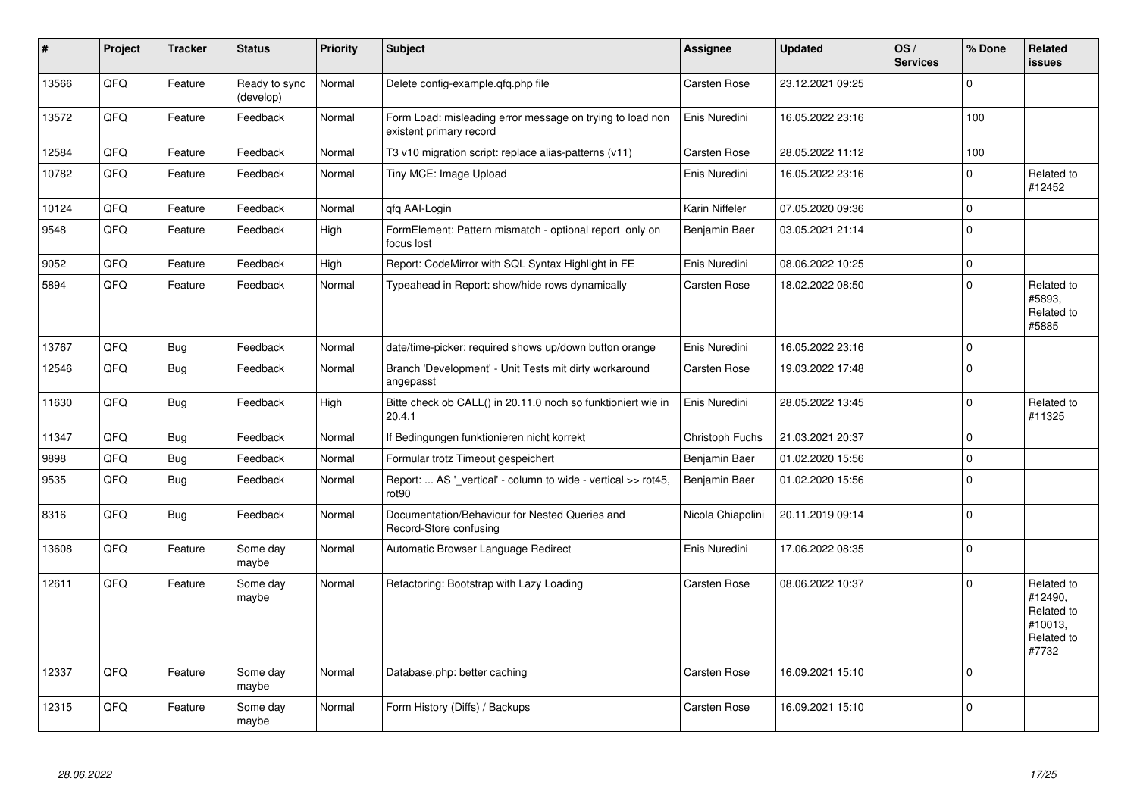| #     | Project | <b>Tracker</b> | <b>Status</b>              | <b>Priority</b> | <b>Subject</b>                                                                       | <b>Assignee</b>     | <b>Updated</b>   | OS/<br><b>Services</b> | % Done      | Related<br>issues                                                     |
|-------|---------|----------------|----------------------------|-----------------|--------------------------------------------------------------------------------------|---------------------|------------------|------------------------|-------------|-----------------------------------------------------------------------|
| 13566 | QFQ     | Feature        | Ready to sync<br>(develop) | Normal          | Delete config-example.gfg.php file                                                   | <b>Carsten Rose</b> | 23.12.2021 09:25 |                        | $\Omega$    |                                                                       |
| 13572 | QFQ     | Feature        | Feedback                   | Normal          | Form Load: misleading error message on trying to load non<br>existent primary record | Enis Nuredini       | 16.05.2022 23:16 |                        | 100         |                                                                       |
| 12584 | QFQ     | Feature        | Feedback                   | Normal          | T3 v10 migration script: replace alias-patterns (v11)                                | <b>Carsten Rose</b> | 28.05.2022 11:12 |                        | 100         |                                                                       |
| 10782 | QFQ     | Feature        | Feedback                   | Normal          | Tiny MCE: Image Upload                                                               | Enis Nuredini       | 16.05.2022 23:16 |                        | $\mathbf 0$ | Related to<br>#12452                                                  |
| 10124 | QFQ     | Feature        | Feedback                   | Normal          | qfq AAI-Login                                                                        | Karin Niffeler      | 07.05.2020 09:36 |                        | $\mathbf 0$ |                                                                       |
| 9548  | QFQ     | Feature        | Feedback                   | High            | FormElement: Pattern mismatch - optional report only on<br>focus lost                | Benjamin Baer       | 03.05.2021 21:14 |                        | $\mathbf 0$ |                                                                       |
| 9052  | QFQ     | Feature        | Feedback                   | High            | Report: CodeMirror with SQL Syntax Highlight in FE                                   | Enis Nuredini       | 08.06.2022 10:25 |                        | $\mathbf 0$ |                                                                       |
| 5894  | QFQ     | Feature        | Feedback                   | Normal          | Typeahead in Report: show/hide rows dynamically                                      | Carsten Rose        | 18.02.2022 08:50 |                        | $\mathbf 0$ | Related to<br>#5893,<br>Related to<br>#5885                           |
| 13767 | QFQ     | Bug            | Feedback                   | Normal          | date/time-picker: required shows up/down button orange                               | Enis Nuredini       | 16.05.2022 23:16 |                        | $\mathbf 0$ |                                                                       |
| 12546 | QFQ     | Bug            | Feedback                   | Normal          | Branch 'Development' - Unit Tests mit dirty workaround<br>angepasst                  | Carsten Rose        | 19.03.2022 17:48 |                        | $\Omega$    |                                                                       |
| 11630 | QFQ     | Bug            | Feedback                   | High            | Bitte check ob CALL() in 20.11.0 noch so funktioniert wie in<br>20.4.1               | Enis Nuredini       | 28.05.2022 13:45 |                        | $\mathbf 0$ | Related to<br>#11325                                                  |
| 11347 | QFQ     | <b>Bug</b>     | Feedback                   | Normal          | If Bedingungen funktionieren nicht korrekt                                           | Christoph Fuchs     | 21.03.2021 20:37 |                        | $\Omega$    |                                                                       |
| 9898  | QFQ     | <b>Bug</b>     | Feedback                   | Normal          | Formular trotz Timeout gespeichert                                                   | Benjamin Baer       | 01.02.2020 15:56 |                        | $\pmb{0}$   |                                                                       |
| 9535  | QFQ     | Bug            | Feedback                   | Normal          | Report:  AS ' vertical' - column to wide - vertical >> rot45,<br>rot <sub>90</sub>   | Benjamin Baer       | 01.02.2020 15:56 |                        | $\mathbf 0$ |                                                                       |
| 8316  | QFQ     | <b>Bug</b>     | Feedback                   | Normal          | Documentation/Behaviour for Nested Queries and<br>Record-Store confusing             | Nicola Chiapolini   | 20.11.2019 09:14 |                        | $\pmb{0}$   |                                                                       |
| 13608 | QFQ     | Feature        | Some day<br>maybe          | Normal          | Automatic Browser Language Redirect                                                  | Enis Nuredini       | 17.06.2022 08:35 |                        | $\Omega$    |                                                                       |
| 12611 | QFQ     | Feature        | Some day<br>maybe          | Normal          | Refactoring: Bootstrap with Lazy Loading                                             | Carsten Rose        | 08.06.2022 10:37 |                        | $\Omega$    | Related to<br>#12490,<br>Related to<br>#10013,<br>Related to<br>#7732 |
| 12337 | QFQ     | Feature        | Some day<br>maybe          | Normal          | Database.php: better caching                                                         | Carsten Rose        | 16.09.2021 15:10 |                        | $\mathbf 0$ |                                                                       |
| 12315 | QFQ     | Feature        | Some day<br>maybe          | Normal          | Form History (Diffs) / Backups                                                       | Carsten Rose        | 16.09.2021 15:10 |                        | $\Omega$    |                                                                       |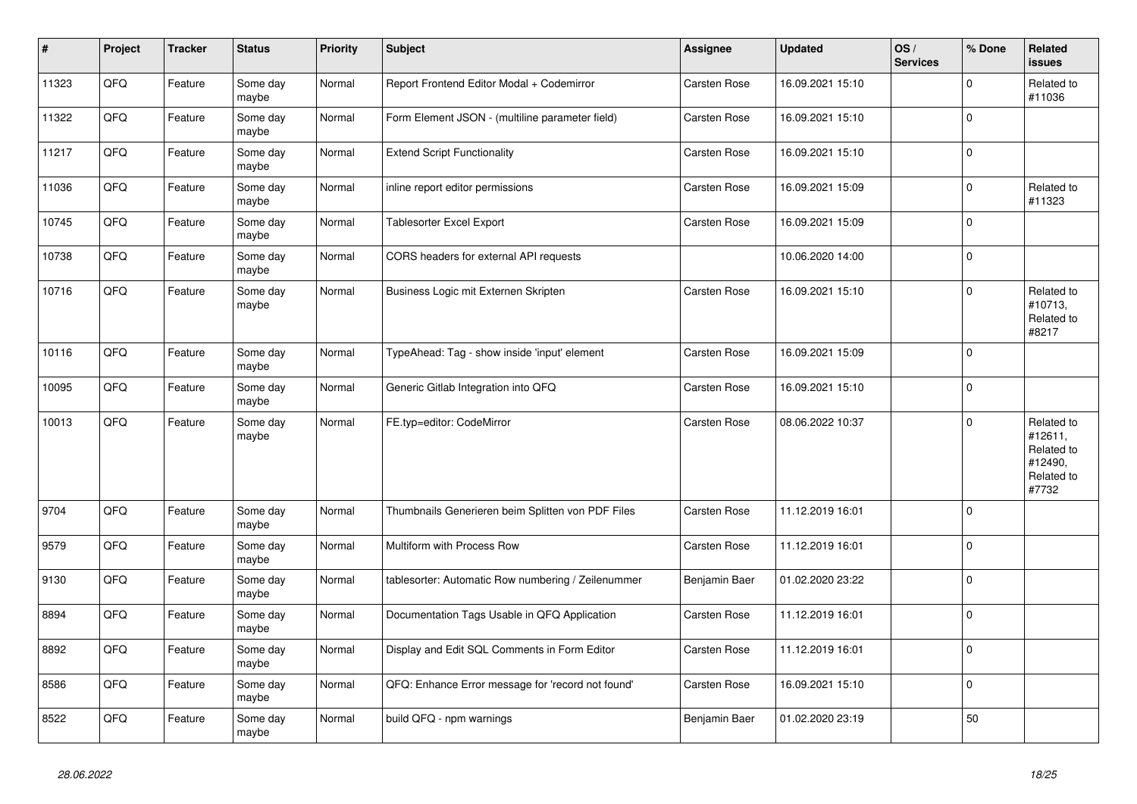| $\vert$ # | <b>Project</b> | <b>Tracker</b> | <b>Status</b>     | <b>Priority</b> | <b>Subject</b>                                     | <b>Assignee</b>     | <b>Updated</b>   | OS/<br><b>Services</b> | % Done      | Related<br><b>issues</b>                                              |
|-----------|----------------|----------------|-------------------|-----------------|----------------------------------------------------|---------------------|------------------|------------------------|-------------|-----------------------------------------------------------------------|
| 11323     | QFQ            | Feature        | Some day<br>maybe | Normal          | Report Frontend Editor Modal + Codemirror          | Carsten Rose        | 16.09.2021 15:10 |                        | $\Omega$    | Related to<br>#11036                                                  |
| 11322     | QFQ            | Feature        | Some day<br>maybe | Normal          | Form Element JSON - (multiline parameter field)    | Carsten Rose        | 16.09.2021 15:10 |                        | $\Omega$    |                                                                       |
| 11217     | QFQ            | Feature        | Some day<br>maybe | Normal          | <b>Extend Script Functionality</b>                 | Carsten Rose        | 16.09.2021 15:10 |                        | $\Omega$    |                                                                       |
| 11036     | QFQ            | Feature        | Some day<br>maybe | Normal          | inline report editor permissions                   | Carsten Rose        | 16.09.2021 15:09 |                        | $\Omega$    | Related to<br>#11323                                                  |
| 10745     | QFQ            | Feature        | Some day<br>maybe | Normal          | Tablesorter Excel Export                           | Carsten Rose        | 16.09.2021 15:09 |                        | $\Omega$    |                                                                       |
| 10738     | QFQ            | Feature        | Some day<br>maybe | Normal          | CORS headers for external API requests             |                     | 10.06.2020 14:00 |                        | $\Omega$    |                                                                       |
| 10716     | QFQ            | Feature        | Some day<br>maybe | Normal          | Business Logic mit Externen Skripten               | Carsten Rose        | 16.09.2021 15:10 |                        | $\Omega$    | Related to<br>#10713,<br>Related to<br>#8217                          |
| 10116     | QFQ            | Feature        | Some dav<br>maybe | Normal          | TypeAhead: Tag - show inside 'input' element       | Carsten Rose        | 16.09.2021 15:09 |                        | $\mathbf 0$ |                                                                       |
| 10095     | QFQ            | Feature        | Some day<br>maybe | Normal          | Generic Gitlab Integration into QFQ                | Carsten Rose        | 16.09.2021 15:10 |                        | $\Omega$    |                                                                       |
| 10013     | QFQ            | Feature        | Some day<br>maybe | Normal          | FE.typ=editor: CodeMirror                          | Carsten Rose        | 08.06.2022 10:37 |                        | $\Omega$    | Related to<br>#12611,<br>Related to<br>#12490,<br>Related to<br>#7732 |
| 9704      | QFQ            | Feature        | Some day<br>maybe | Normal          | Thumbnails Generieren beim Splitten von PDF Files  | <b>Carsten Rose</b> | 11.12.2019 16:01 |                        | $\Omega$    |                                                                       |
| 9579      | QFQ            | Feature        | Some day<br>maybe | Normal          | Multiform with Process Row                         | Carsten Rose        | 11.12.2019 16:01 |                        | $\mathbf 0$ |                                                                       |
| 9130      | QFQ            | Feature        | Some day<br>maybe | Normal          | tablesorter: Automatic Row numbering / Zeilenummer | Benjamin Baer       | 01.02.2020 23:22 |                        | $\Omega$    |                                                                       |
| 8894      | QFQ            | Feature        | Some day<br>maybe | Normal          | Documentation Tags Usable in QFQ Application       | Carsten Rose        | 11.12.2019 16:01 |                        | $\Omega$    |                                                                       |
| 8892      | QFQ            | Feature        | Some day<br>maybe | Normal          | Display and Edit SQL Comments in Form Editor       | Carsten Rose        | 11.12.2019 16:01 |                        | $\Omega$    |                                                                       |
| 8586      | QFQ            | Feature        | Some day<br>maybe | Normal          | QFQ: Enhance Error message for 'record not found'  | Carsten Rose        | 16.09.2021 15:10 |                        | $\Omega$    |                                                                       |
| 8522      | QFQ            | Feature        | Some day<br>maybe | Normal          | build QFQ - npm warnings                           | Benjamin Baer       | 01.02.2020 23:19 |                        | 50          |                                                                       |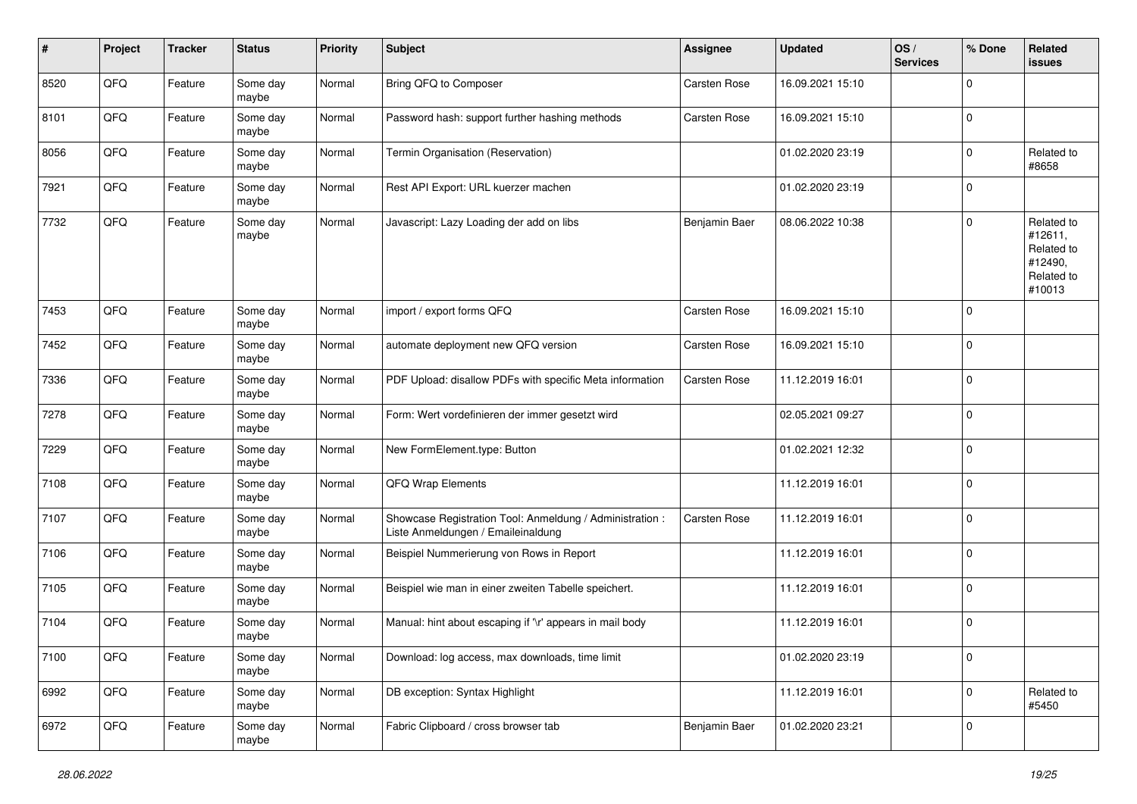| $\sharp$ | Project | <b>Tracker</b> | <b>Status</b>     | <b>Priority</b> | <b>Subject</b>                                                                                 | <b>Assignee</b> | <b>Updated</b>   | OS/<br><b>Services</b> | % Done      | Related<br>issues                                                      |
|----------|---------|----------------|-------------------|-----------------|------------------------------------------------------------------------------------------------|-----------------|------------------|------------------------|-------------|------------------------------------------------------------------------|
| 8520     | QFQ     | Feature        | Some day<br>maybe | Normal          | Bring QFQ to Composer                                                                          | Carsten Rose    | 16.09.2021 15:10 |                        | $\mathbf 0$ |                                                                        |
| 8101     | QFQ     | Feature        | Some day<br>maybe | Normal          | Password hash: support further hashing methods                                                 | Carsten Rose    | 16.09.2021 15:10 |                        | $\mathbf 0$ |                                                                        |
| 8056     | QFQ     | Feature        | Some day<br>maybe | Normal          | Termin Organisation (Reservation)                                                              |                 | 01.02.2020 23:19 |                        | $\mathbf 0$ | Related to<br>#8658                                                    |
| 7921     | QFQ     | Feature        | Some day<br>maybe | Normal          | Rest API Export: URL kuerzer machen                                                            |                 | 01.02.2020 23:19 |                        | $\mathbf 0$ |                                                                        |
| 7732     | QFQ     | Feature        | Some day<br>maybe | Normal          | Javascript: Lazy Loading der add on libs                                                       | Benjamin Baer   | 08.06.2022 10:38 |                        | $\mathbf 0$ | Related to<br>#12611,<br>Related to<br>#12490,<br>Related to<br>#10013 |
| 7453     | QFQ     | Feature        | Some day<br>maybe | Normal          | import / export forms QFQ                                                                      | Carsten Rose    | 16.09.2021 15:10 |                        | 0           |                                                                        |
| 7452     | QFQ     | Feature        | Some day<br>maybe | Normal          | automate deployment new QFQ version                                                            | Carsten Rose    | 16.09.2021 15:10 |                        | $\mathbf 0$ |                                                                        |
| 7336     | QFQ     | Feature        | Some day<br>maybe | Normal          | PDF Upload: disallow PDFs with specific Meta information                                       | Carsten Rose    | 11.12.2019 16:01 |                        | $\mathbf 0$ |                                                                        |
| 7278     | QFQ     | Feature        | Some day<br>maybe | Normal          | Form: Wert vordefinieren der immer gesetzt wird                                                |                 | 02.05.2021 09:27 |                        | $\mathbf 0$ |                                                                        |
| 7229     | QFQ     | Feature        | Some day<br>maybe | Normal          | New FormElement.type: Button                                                                   |                 | 01.02.2021 12:32 |                        | $\mathbf 0$ |                                                                        |
| 7108     | QFQ     | Feature        | Some day<br>maybe | Normal          | QFQ Wrap Elements                                                                              |                 | 11.12.2019 16:01 |                        | $\mathbf 0$ |                                                                        |
| 7107     | QFQ     | Feature        | Some day<br>maybe | Normal          | Showcase Registration Tool: Anmeldung / Administration :<br>Liste Anmeldungen / Emaileinaldung | Carsten Rose    | 11.12.2019 16:01 |                        | $\mathbf 0$ |                                                                        |
| 7106     | QFQ     | Feature        | Some day<br>maybe | Normal          | Beispiel Nummerierung von Rows in Report                                                       |                 | 11.12.2019 16:01 |                        | $\mathbf 0$ |                                                                        |
| 7105     | QFQ     | Feature        | Some day<br>maybe | Normal          | Beispiel wie man in einer zweiten Tabelle speichert.                                           |                 | 11.12.2019 16:01 |                        | 0           |                                                                        |
| 7104     | QFQ     | Feature        | Some day<br>maybe | Normal          | Manual: hint about escaping if '\r' appears in mail body                                       |                 | 11.12.2019 16:01 |                        | $\mathbf 0$ |                                                                        |
| 7100     | QFQ     | Feature        | Some day<br>maybe | Normal          | Download: log access, max downloads, time limit                                                |                 | 01.02.2020 23:19 |                        | $\pmb{0}$   |                                                                        |
| 6992     | QFQ     | Feature        | Some day<br>maybe | Normal          | DB exception: Syntax Highlight                                                                 |                 | 11.12.2019 16:01 |                        | 0           | Related to<br>#5450                                                    |
| 6972     | QFG     | Feature        | Some day<br>maybe | Normal          | Fabric Clipboard / cross browser tab                                                           | Benjamin Baer   | 01.02.2020 23:21 |                        | $\mathbf 0$ |                                                                        |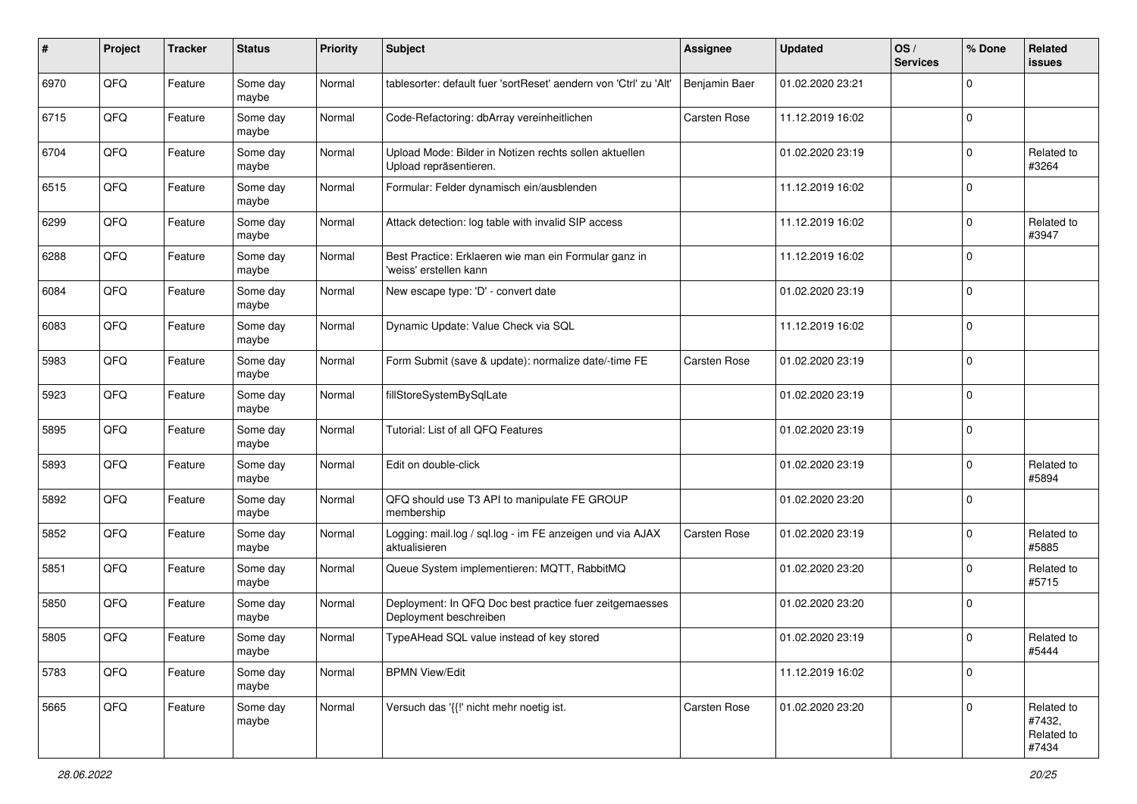| #    | Project | <b>Tracker</b> | <b>Status</b>     | <b>Priority</b> | <b>Subject</b>                                                                    | <b>Assignee</b>     | <b>Updated</b>   | OS/<br><b>Services</b> | % Done      | Related<br>issues                           |
|------|---------|----------------|-------------------|-----------------|-----------------------------------------------------------------------------------|---------------------|------------------|------------------------|-------------|---------------------------------------------|
| 6970 | QFQ     | Feature        | Some day<br>maybe | Normal          | tablesorter: default fuer 'sortReset' aendern von 'Ctrl' zu 'Alt'                 | Benjamin Baer       | 01.02.2020 23:21 |                        | $\Omega$    |                                             |
| 6715 | QFQ     | Feature        | Some day<br>maybe | Normal          | Code-Refactoring: dbArray vereinheitlichen                                        | Carsten Rose        | 11.12.2019 16:02 |                        | $\mathbf 0$ |                                             |
| 6704 | QFQ     | Feature        | Some day<br>maybe | Normal          | Upload Mode: Bilder in Notizen rechts sollen aktuellen<br>Upload repräsentieren.  |                     | 01.02.2020 23:19 |                        | $\mathbf 0$ | Related to<br>#3264                         |
| 6515 | QFQ     | Feature        | Some day<br>maybe | Normal          | Formular: Felder dynamisch ein/ausblenden                                         |                     | 11.12.2019 16:02 |                        | $\mathbf 0$ |                                             |
| 6299 | QFQ     | Feature        | Some day<br>maybe | Normal          | Attack detection: log table with invalid SIP access                               |                     | 11.12.2019 16:02 |                        | $\mathbf 0$ | Related to<br>#3947                         |
| 6288 | QFQ     | Feature        | Some day<br>maybe | Normal          | Best Practice: Erklaeren wie man ein Formular ganz in<br>'weiss' erstellen kann   |                     | 11.12.2019 16:02 |                        | $\mathbf 0$ |                                             |
| 6084 | QFQ     | Feature        | Some day<br>maybe | Normal          | New escape type: 'D' - convert date                                               |                     | 01.02.2020 23:19 |                        | $\mathbf 0$ |                                             |
| 6083 | QFQ     | Feature        | Some day<br>maybe | Normal          | Dynamic Update: Value Check via SQL                                               |                     | 11.12.2019 16:02 |                        | $\mathbf 0$ |                                             |
| 5983 | QFQ     | Feature        | Some day<br>maybe | Normal          | Form Submit (save & update): normalize date/-time FE                              | <b>Carsten Rose</b> | 01.02.2020 23:19 |                        | $\mathbf 0$ |                                             |
| 5923 | QFQ     | Feature        | Some day<br>maybe | Normal          | fillStoreSystemBySqlLate                                                          |                     | 01.02.2020 23:19 |                        | $\mathbf 0$ |                                             |
| 5895 | QFQ     | Feature        | Some day<br>maybe | Normal          | Tutorial: List of all QFQ Features                                                |                     | 01.02.2020 23:19 |                        | $\mathbf 0$ |                                             |
| 5893 | QFQ     | Feature        | Some day<br>maybe | Normal          | Edit on double-click                                                              |                     | 01.02.2020 23:19 |                        | $\mathbf 0$ | Related to<br>#5894                         |
| 5892 | QFQ     | Feature        | Some day<br>maybe | Normal          | QFQ should use T3 API to manipulate FE GROUP<br>membership                        |                     | 01.02.2020 23:20 |                        | $\mathbf 0$ |                                             |
| 5852 | QFQ     | Feature        | Some day<br>maybe | Normal          | Logging: mail.log / sql.log - im FE anzeigen und via AJAX<br>aktualisieren        | <b>Carsten Rose</b> | 01.02.2020 23:19 |                        | $\mathbf 0$ | Related to<br>#5885                         |
| 5851 | QFQ     | Feature        | Some day<br>maybe | Normal          | Queue System implementieren: MQTT, RabbitMQ                                       |                     | 01.02.2020 23:20 |                        | $\mathbf 0$ | Related to<br>#5715                         |
| 5850 | QFQ     | Feature        | Some day<br>maybe | Normal          | Deployment: In QFQ Doc best practice fuer zeitgemaesses<br>Deployment beschreiben |                     | 01.02.2020 23:20 |                        | $\mathbf 0$ |                                             |
| 5805 | QFQ     | Feature        | Some day<br>maybe | Normal          | TypeAHead SQL value instead of key stored                                         |                     | 01.02.2020 23:19 |                        | $\mathbf 0$ | Related to<br>#5444                         |
| 5783 | QFQ     | Feature        | Some day<br>maybe | Normal          | <b>BPMN View/Edit</b>                                                             |                     | 11.12.2019 16:02 |                        | 0           |                                             |
| 5665 | QFG     | Feature        | Some day<br>maybe | Normal          | Versuch das '{{!' nicht mehr noetig ist.                                          | Carsten Rose        | 01.02.2020 23:20 |                        | $\mathbf 0$ | Related to<br>#7432,<br>Related to<br>#7434 |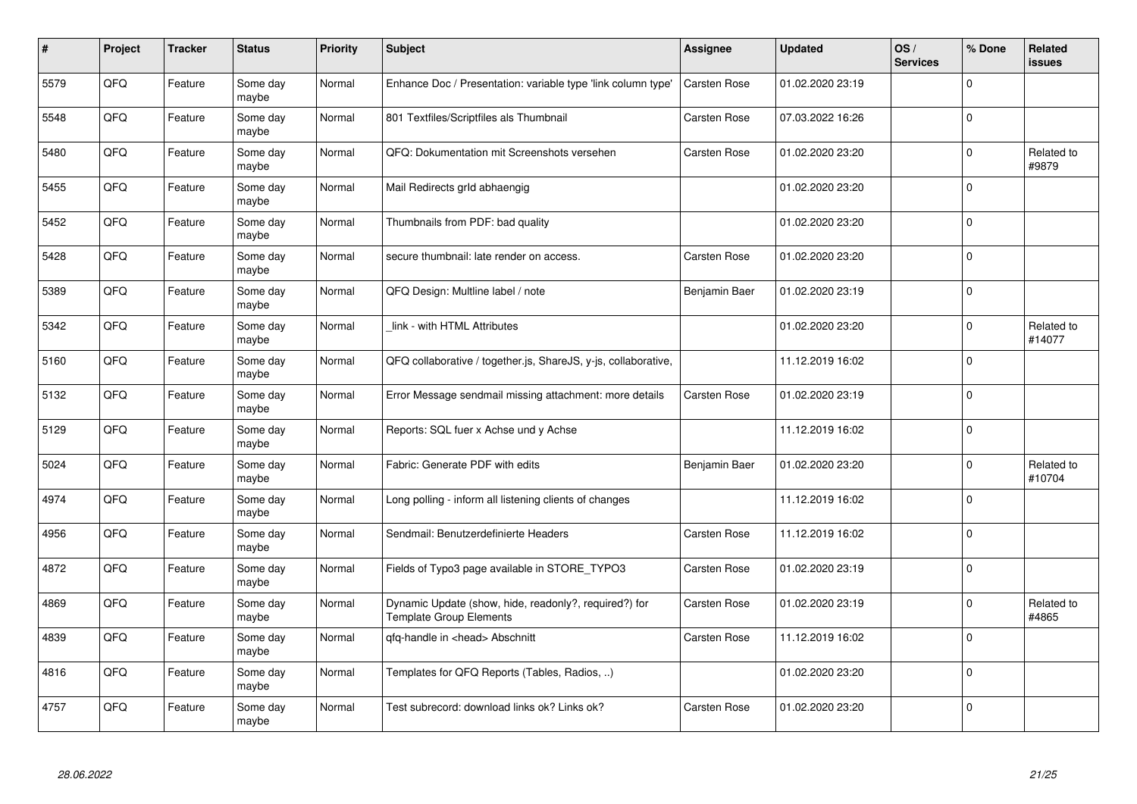| #    | Project | <b>Tracker</b> | <b>Status</b>     | <b>Priority</b> | <b>Subject</b>                                                                   | Assignee            | <b>Updated</b>   | OS/<br><b>Services</b> | % Done      | Related<br><b>issues</b> |
|------|---------|----------------|-------------------|-----------------|----------------------------------------------------------------------------------|---------------------|------------------|------------------------|-------------|--------------------------|
| 5579 | QFQ     | Feature        | Some day<br>maybe | Normal          | Enhance Doc / Presentation: variable type 'link column type'                     | <b>Carsten Rose</b> | 01.02.2020 23:19 |                        | $\Omega$    |                          |
| 5548 | QFQ     | Feature        | Some dav<br>maybe | Normal          | 801 Textfiles/Scriptfiles als Thumbnail                                          | Carsten Rose        | 07.03.2022 16:26 |                        | $\Omega$    |                          |
| 5480 | QFQ     | Feature        | Some day<br>maybe | Normal          | QFQ: Dokumentation mit Screenshots versehen                                      | Carsten Rose        | 01.02.2020 23:20 |                        | $\mathbf 0$ | Related to<br>#9879      |
| 5455 | QFQ     | Feature        | Some day<br>maybe | Normal          | Mail Redirects grld abhaengig                                                    |                     | 01.02.2020 23:20 |                        | $\Omega$    |                          |
| 5452 | QFQ     | Feature        | Some day<br>maybe | Normal          | Thumbnails from PDF: bad quality                                                 |                     | 01.02.2020 23:20 |                        | $\Omega$    |                          |
| 5428 | QFQ     | Feature        | Some dav<br>maybe | Normal          | secure thumbnail: late render on access.                                         | Carsten Rose        | 01.02.2020 23:20 |                        | $\mathbf 0$ |                          |
| 5389 | QFQ     | Feature        | Some day<br>maybe | Normal          | QFQ Design: Multline label / note                                                | Benjamin Baer       | 01.02.2020 23:19 |                        | $\Omega$    |                          |
| 5342 | QFQ     | Feature        | Some day<br>maybe | Normal          | link - with HTML Attributes                                                      |                     | 01.02.2020 23:20 |                        | $\Omega$    | Related to<br>#14077     |
| 5160 | QFQ     | Feature        | Some dav<br>maybe | Normal          | QFQ collaborative / together.js, ShareJS, y-js, collaborative,                   |                     | 11.12.2019 16:02 |                        | $\Omega$    |                          |
| 5132 | QFQ     | Feature        | Some day<br>maybe | Normal          | Error Message sendmail missing attachment: more details                          | Carsten Rose        | 01.02.2020 23:19 |                        | $\Omega$    |                          |
| 5129 | QFQ     | Feature        | Some day<br>maybe | Normal          | Reports: SQL fuer x Achse und y Achse                                            |                     | 11.12.2019 16:02 |                        | $\Omega$    |                          |
| 5024 | QFQ     | Feature        | Some day<br>maybe | Normal          | Fabric: Generate PDF with edits                                                  | Benjamin Baer       | 01.02.2020 23:20 |                        | $\Omega$    | Related to<br>#10704     |
| 4974 | QFQ     | Feature        | Some day<br>maybe | Normal          | Long polling - inform all listening clients of changes                           |                     | 11.12.2019 16:02 |                        | $\Omega$    |                          |
| 4956 | QFQ     | Feature        | Some day<br>maybe | Normal          | Sendmail: Benutzerdefinierte Headers                                             | Carsten Rose        | 11.12.2019 16:02 |                        | $\Omega$    |                          |
| 4872 | QFQ     | Feature        | Some day<br>maybe | Normal          | Fields of Typo3 page available in STORE_TYPO3                                    | Carsten Rose        | 01.02.2020 23:19 |                        | $\Omega$    |                          |
| 4869 | QFQ     | Feature        | Some day<br>maybe | Normal          | Dynamic Update (show, hide, readonly?, required?) for<br>Template Group Elements | Carsten Rose        | 01.02.2020 23:19 |                        | $\Omega$    | Related to<br>#4865      |
| 4839 | QFQ     | Feature        | Some day<br>maybe | Normal          | qfq-handle in <head> Abschnitt</head>                                            | Carsten Rose        | 11.12.2019 16:02 |                        | $\Omega$    |                          |
| 4816 | QFQ     | Feature        | Some day<br>maybe | Normal          | Templates for QFQ Reports (Tables, Radios, )                                     |                     | 01.02.2020 23:20 |                        | $\Omega$    |                          |
| 4757 | QFQ     | Feature        | Some day<br>maybe | Normal          | Test subrecord: download links ok? Links ok?                                     | Carsten Rose        | 01.02.2020 23:20 |                        | $\Omega$    |                          |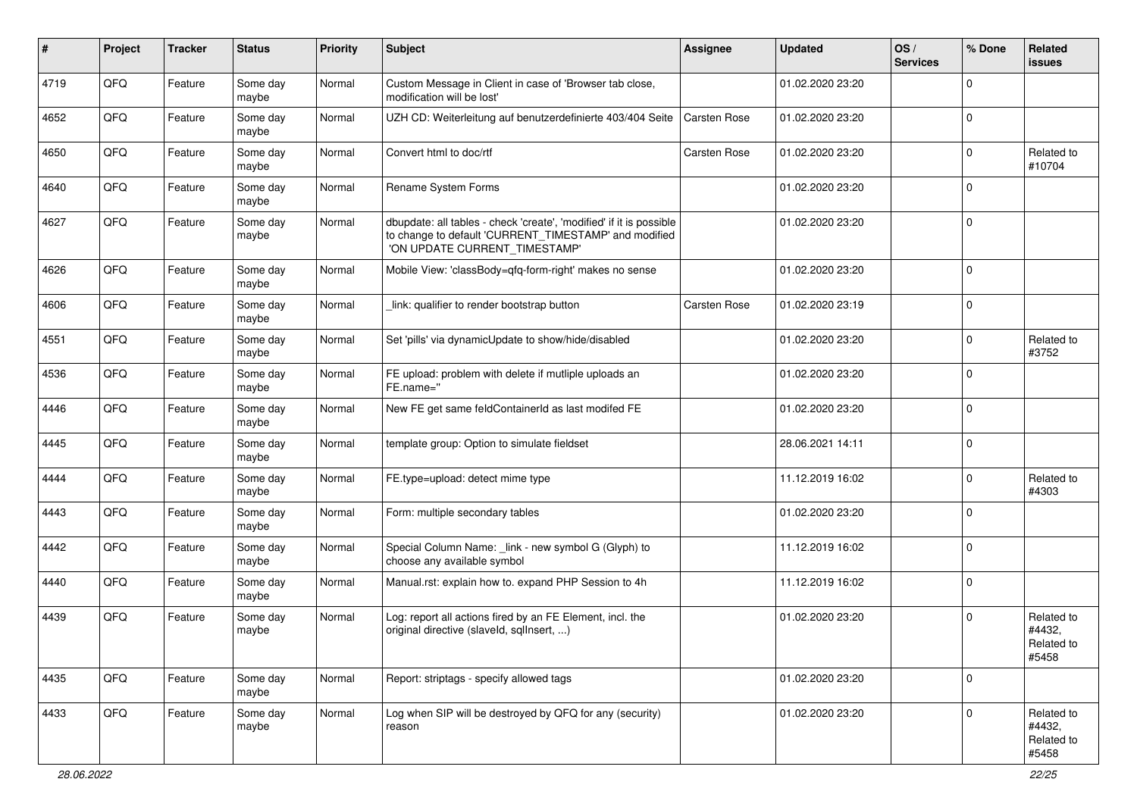| #    | Project | <b>Tracker</b> | <b>Status</b>     | <b>Priority</b> | <b>Subject</b>                                                                                                                                                | Assignee            | <b>Updated</b>   | OS/<br><b>Services</b> | % Done      | Related<br><b>issues</b>                    |
|------|---------|----------------|-------------------|-----------------|---------------------------------------------------------------------------------------------------------------------------------------------------------------|---------------------|------------------|------------------------|-------------|---------------------------------------------|
| 4719 | QFQ     | Feature        | Some day<br>maybe | Normal          | Custom Message in Client in case of 'Browser tab close,<br>modification will be lost'                                                                         |                     | 01.02.2020 23:20 |                        | $\Omega$    |                                             |
| 4652 | QFQ     | Feature        | Some day<br>maybe | Normal          | UZH CD: Weiterleitung auf benutzerdefinierte 403/404 Seite                                                                                                    | <b>Carsten Rose</b> | 01.02.2020 23:20 |                        | $\mathbf 0$ |                                             |
| 4650 | QFQ     | Feature        | Some day<br>maybe | Normal          | Convert html to doc/rtf                                                                                                                                       | Carsten Rose        | 01.02.2020 23:20 |                        | $\mathbf 0$ | Related to<br>#10704                        |
| 4640 | QFQ     | Feature        | Some day<br>maybe | Normal          | Rename System Forms                                                                                                                                           |                     | 01.02.2020 23:20 |                        | $\mathbf 0$ |                                             |
| 4627 | QFQ     | Feature        | Some day<br>maybe | Normal          | dbupdate: all tables - check 'create', 'modified' if it is possible<br>to change to default 'CURRENT_TIMESTAMP' and modified<br>'ON UPDATE CURRENT_TIMESTAMP' |                     | 01.02.2020 23:20 |                        | $\mathbf 0$ |                                             |
| 4626 | QFQ     | Feature        | Some day<br>maybe | Normal          | Mobile View: 'classBody=qfq-form-right' makes no sense                                                                                                        |                     | 01.02.2020 23:20 |                        | $\mathbf 0$ |                                             |
| 4606 | QFQ     | Feature        | Some day<br>maybe | Normal          | link: qualifier to render bootstrap button                                                                                                                    | Carsten Rose        | 01.02.2020 23:19 |                        | $\mathbf 0$ |                                             |
| 4551 | QFQ     | Feature        | Some day<br>maybe | Normal          | Set 'pills' via dynamicUpdate to show/hide/disabled                                                                                                           |                     | 01.02.2020 23:20 |                        | $\mathbf 0$ | Related to<br>#3752                         |
| 4536 | QFQ     | Feature        | Some day<br>maybe | Normal          | FE upload: problem with delete if mutliple uploads an<br>FE.name="                                                                                            |                     | 01.02.2020 23:20 |                        | $\mathbf 0$ |                                             |
| 4446 | QFQ     | Feature        | Some day<br>maybe | Normal          | New FE get same feldContainerId as last modifed FE                                                                                                            |                     | 01.02.2020 23:20 |                        | $\mathbf 0$ |                                             |
| 4445 | QFQ     | Feature        | Some day<br>maybe | Normal          | template group: Option to simulate fieldset                                                                                                                   |                     | 28.06.2021 14:11 |                        | $\mathbf 0$ |                                             |
| 4444 | QFQ     | Feature        | Some day<br>maybe | Normal          | FE.type=upload: detect mime type                                                                                                                              |                     | 11.12.2019 16:02 |                        | $\mathbf 0$ | Related to<br>#4303                         |
| 4443 | QFQ     | Feature        | Some day<br>maybe | Normal          | Form: multiple secondary tables                                                                                                                               |                     | 01.02.2020 23:20 |                        | $\mathbf 0$ |                                             |
| 4442 | QFQ     | Feature        | Some day<br>maybe | Normal          | Special Column Name: _link - new symbol G (Glyph) to<br>choose any available symbol                                                                           |                     | 11.12.2019 16:02 |                        | $\mathbf 0$ |                                             |
| 4440 | QFQ     | Feature        | Some day<br>maybe | Normal          | Manual.rst: explain how to. expand PHP Session to 4h                                                                                                          |                     | 11.12.2019 16:02 |                        | $\mathbf 0$ |                                             |
| 4439 | QFQ     | Feature        | Some day<br>maybe | Normal          | Log: report all actions fired by an FE Element, incl. the<br>original directive (slaveld, sqllnsert, )                                                        |                     | 01.02.2020 23:20 |                        | $\mathbf 0$ | Related to<br>#4432,<br>Related to<br>#5458 |
| 4435 | QFQ     | Feature        | Some day<br>maybe | Normal          | Report: striptags - specify allowed tags                                                                                                                      |                     | 01.02.2020 23:20 |                        | $\pmb{0}$   |                                             |
| 4433 | QFQ     | Feature        | Some day<br>maybe | Normal          | Log when SIP will be destroyed by QFQ for any (security)<br>reason                                                                                            |                     | 01.02.2020 23:20 |                        | $\mathbf 0$ | Related to<br>#4432,<br>Related to<br>#5458 |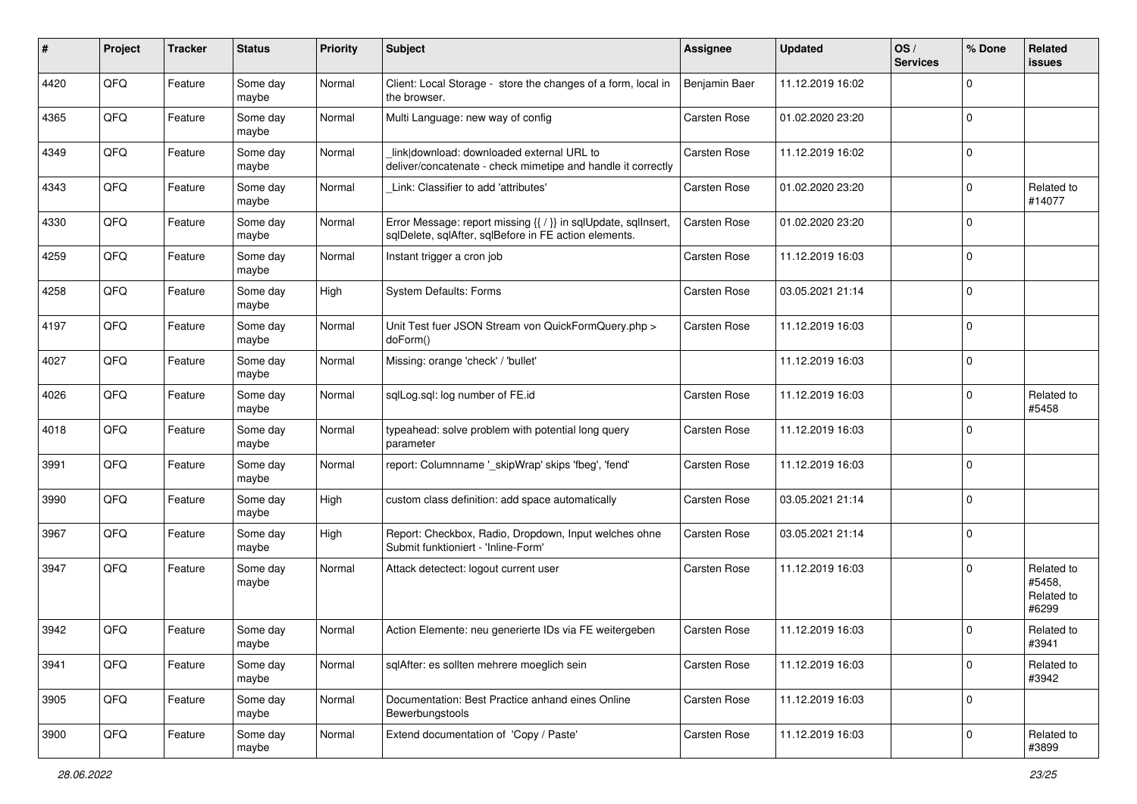| #    | Project | <b>Tracker</b> | <b>Status</b>     | <b>Priority</b> | <b>Subject</b>                                                                                                          | <b>Assignee</b>     | <b>Updated</b>   | OS/<br><b>Services</b> | % Done      | Related<br><b>issues</b>                    |
|------|---------|----------------|-------------------|-----------------|-------------------------------------------------------------------------------------------------------------------------|---------------------|------------------|------------------------|-------------|---------------------------------------------|
| 4420 | QFQ     | Feature        | Some day<br>maybe | Normal          | Client: Local Storage - store the changes of a form, local in<br>the browser.                                           | Benjamin Baer       | 11.12.2019 16:02 |                        | $\Omega$    |                                             |
| 4365 | QFQ     | Feature        | Some day<br>maybe | Normal          | Multi Language: new way of config                                                                                       | Carsten Rose        | 01.02.2020 23:20 |                        | $\mathbf 0$ |                                             |
| 4349 | QFQ     | Feature        | Some day<br>maybe | Normal          | link download: downloaded external URL to<br>deliver/concatenate - check mimetipe and handle it correctly               | Carsten Rose        | 11.12.2019 16:02 |                        | $\mathbf 0$ |                                             |
| 4343 | QFQ     | Feature        | Some day<br>maybe | Normal          | Link: Classifier to add 'attributes'                                                                                    | Carsten Rose        | 01.02.2020 23:20 |                        | $\mathbf 0$ | Related to<br>#14077                        |
| 4330 | QFQ     | Feature        | Some day<br>maybe | Normal          | Error Message: report missing {{ / }} in sqlUpdate, sqlInsert,<br>sqlDelete, sqlAfter, sqlBefore in FE action elements. | Carsten Rose        | 01.02.2020 23:20 |                        | $\mathbf 0$ |                                             |
| 4259 | QFQ     | Feature        | Some day<br>maybe | Normal          | Instant trigger a cron job                                                                                              | Carsten Rose        | 11.12.2019 16:03 |                        | $\mathbf 0$ |                                             |
| 4258 | QFQ     | Feature        | Some day<br>maybe | High            | <b>System Defaults: Forms</b>                                                                                           | <b>Carsten Rose</b> | 03.05.2021 21:14 |                        | $\mathbf 0$ |                                             |
| 4197 | QFQ     | Feature        | Some day<br>maybe | Normal          | Unit Test fuer JSON Stream von QuickFormQuery.php ><br>doForm()                                                         | Carsten Rose        | 11.12.2019 16:03 |                        | $\mathbf 0$ |                                             |
| 4027 | QFQ     | Feature        | Some day<br>maybe | Normal          | Missing: orange 'check' / 'bullet'                                                                                      |                     | 11.12.2019 16:03 |                        | $\mathbf 0$ |                                             |
| 4026 | QFQ     | Feature        | Some day<br>maybe | Normal          | sglLog.sgl: log number of FE.id                                                                                         | Carsten Rose        | 11.12.2019 16:03 |                        | $\mathbf 0$ | Related to<br>#5458                         |
| 4018 | QFQ     | Feature        | Some day<br>maybe | Normal          | typeahead: solve problem with potential long query<br>parameter                                                         | Carsten Rose        | 11.12.2019 16:03 |                        | $\mathbf 0$ |                                             |
| 3991 | QFQ     | Feature        | Some day<br>maybe | Normal          | report: Columnname '_skipWrap' skips 'fbeg', 'fend'                                                                     | Carsten Rose        | 11.12.2019 16:03 |                        | $\mathbf 0$ |                                             |
| 3990 | QFQ     | Feature        | Some day<br>maybe | High            | custom class definition: add space automatically                                                                        | Carsten Rose        | 03.05.2021 21:14 |                        | $\mathbf 0$ |                                             |
| 3967 | QFQ     | Feature        | Some day<br>maybe | High            | Report: Checkbox, Radio, Dropdown, Input welches ohne<br>Submit funktioniert - 'Inline-Form'                            | <b>Carsten Rose</b> | 03.05.2021 21:14 |                        | $\mathbf 0$ |                                             |
| 3947 | QFQ     | Feature        | Some day<br>maybe | Normal          | Attack detectect: logout current user                                                                                   | Carsten Rose        | 11.12.2019 16:03 |                        | $\Omega$    | Related to<br>#5458.<br>Related to<br>#6299 |
| 3942 | QFQ     | Feature        | Some day<br>maybe | Normal          | Action Elemente: neu generierte IDs via FE weitergeben                                                                  | <b>Carsten Rose</b> | 11.12.2019 16:03 |                        | 0           | Related to<br>#3941                         |
| 3941 | QFQ     | Feature        | Some day<br>maybe | Normal          | sqlAfter: es sollten mehrere moeglich sein                                                                              | Carsten Rose        | 11.12.2019 16:03 |                        | $\mathbf 0$ | Related to<br>#3942                         |
| 3905 | QFQ     | Feature        | Some day<br>maybe | Normal          | Documentation: Best Practice anhand eines Online<br>Bewerbungstools                                                     | Carsten Rose        | 11.12.2019 16:03 |                        | $\mathbf 0$ |                                             |
| 3900 | QFG     | Feature        | Some day<br>maybe | Normal          | Extend documentation of 'Copy / Paste'                                                                                  | Carsten Rose        | 11.12.2019 16:03 |                        | $\mathbf 0$ | Related to<br>#3899                         |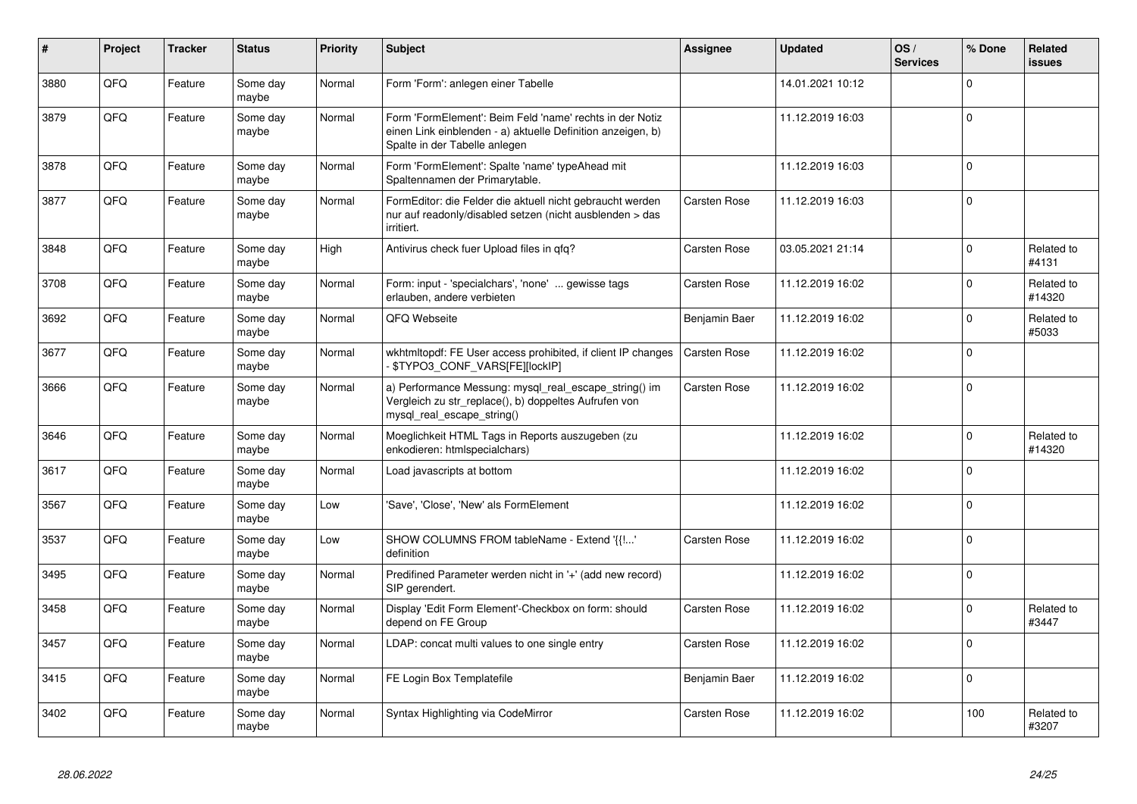| #    | Project | <b>Tracker</b> | <b>Status</b>     | <b>Priority</b> | <b>Subject</b>                                                                                                                                           | <b>Assignee</b> | <b>Updated</b>   | OS/<br><b>Services</b> | % Done      | Related<br><b>issues</b> |
|------|---------|----------------|-------------------|-----------------|----------------------------------------------------------------------------------------------------------------------------------------------------------|-----------------|------------------|------------------------|-------------|--------------------------|
| 3880 | QFQ     | Feature        | Some day<br>maybe | Normal          | Form 'Form': anlegen einer Tabelle                                                                                                                       |                 | 14.01.2021 10:12 |                        | $\mathbf 0$ |                          |
| 3879 | QFQ     | Feature        | Some day<br>maybe | Normal          | Form 'FormElement': Beim Feld 'name' rechts in der Notiz<br>einen Link einblenden - a) aktuelle Definition anzeigen, b)<br>Spalte in der Tabelle anlegen |                 | 11.12.2019 16:03 |                        | $\mathbf 0$ |                          |
| 3878 | QFQ     | Feature        | Some day<br>maybe | Normal          | Form 'FormElement': Spalte 'name' typeAhead mit<br>Spaltennamen der Primarytable.                                                                        |                 | 11.12.2019 16:03 |                        | $\mathbf 0$ |                          |
| 3877 | QFQ     | Feature        | Some day<br>maybe | Normal          | FormEditor: die Felder die aktuell nicht gebraucht werden<br>nur auf readonly/disabled setzen (nicht ausblenden > das<br>irritiert.                      | Carsten Rose    | 11.12.2019 16:03 |                        | $\Omega$    |                          |
| 3848 | QFQ     | Feature        | Some dav<br>maybe | High            | Antivirus check fuer Upload files in qfq?                                                                                                                | Carsten Rose    | 03.05.2021 21:14 |                        | $\mathbf 0$ | Related to<br>#4131      |
| 3708 | QFQ     | Feature        | Some dav<br>maybe | Normal          | Form: input - 'specialchars', 'none'  gewisse tags<br>erlauben, andere verbieten                                                                         | Carsten Rose    | 11.12.2019 16:02 |                        | $\mathbf 0$ | Related to<br>#14320     |
| 3692 | QFQ     | Feature        | Some day<br>maybe | Normal          | QFQ Webseite                                                                                                                                             | Benjamin Baer   | 11.12.2019 16:02 |                        | $\Omega$    | Related to<br>#5033      |
| 3677 | QFQ     | Feature        | Some day<br>maybe | Normal          | wkhtmltopdf: FE User access prohibited, if client IP changes<br>\$TYPO3_CONF_VARS[FE][lockIP]                                                            | Carsten Rose    | 11.12.2019 16:02 |                        | $\Omega$    |                          |
| 3666 | QFQ     | Feature        | Some day<br>maybe | Normal          | a) Performance Messung: mysql_real_escape_string() im<br>Vergleich zu str replace(), b) doppeltes Aufrufen von<br>mysql real escape string()             | Carsten Rose    | 11.12.2019 16:02 |                        | $\mathbf 0$ |                          |
| 3646 | QFQ     | Feature        | Some day<br>maybe | Normal          | Moeglichkeit HTML Tags in Reports auszugeben (zu<br>enkodieren: htmlspecialchars)                                                                        |                 | 11.12.2019 16:02 |                        | $\mathbf 0$ | Related to<br>#14320     |
| 3617 | QFQ     | Feature        | Some day<br>maybe | Normal          | Load javascripts at bottom                                                                                                                               |                 | 11.12.2019 16:02 |                        | $\Omega$    |                          |
| 3567 | QFQ     | Feature        | Some day<br>maybe | Low             | 'Save', 'Close', 'New' als FormElement                                                                                                                   |                 | 11.12.2019 16:02 |                        | $\mathbf 0$ |                          |
| 3537 | QFQ     | Feature        | Some day<br>maybe | Low             | SHOW COLUMNS FROM tableName - Extend '{{!'<br>definition                                                                                                 | Carsten Rose    | 11.12.2019 16:02 |                        | $\mathbf 0$ |                          |
| 3495 | QFQ     | Feature        | Some day<br>maybe | Normal          | Predifined Parameter werden nicht in '+' (add new record)<br>SIP gerendert.                                                                              |                 | 11.12.2019 16:02 |                        | $\mathbf 0$ |                          |
| 3458 | QFQ     | Feature        | Some day<br>maybe | Normal          | Display 'Edit Form Element'-Checkbox on form: should<br>depend on FE Group                                                                               | Carsten Rose    | 11.12.2019 16:02 |                        | $\Omega$    | Related to<br>#3447      |
| 3457 | QFQ     | Feature        | Some day<br>maybe | Normal          | LDAP: concat multi values to one single entry                                                                                                            | Carsten Rose    | 11.12.2019 16:02 |                        | $\Omega$    |                          |
| 3415 | QFQ     | Feature        | Some day<br>maybe | Normal          | FE Login Box Templatefile                                                                                                                                | Benjamin Baer   | 11.12.2019 16:02 |                        | $\mathbf 0$ |                          |
| 3402 | QFQ     | Feature        | Some day<br>maybe | Normal          | Syntax Highlighting via CodeMirror                                                                                                                       | Carsten Rose    | 11.12.2019 16:02 |                        | 100         | Related to<br>#3207      |